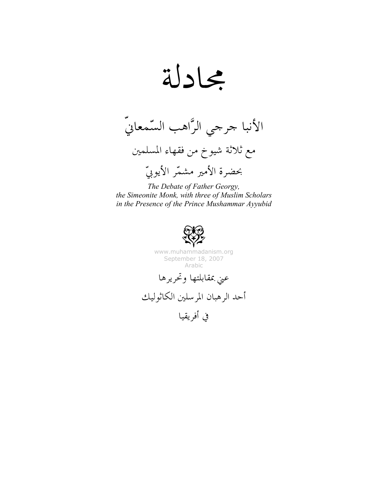مجادلة

الأنبا جرجى الرَّاهب السّمعانيّ مع ثلاثة شيوخ من فقهاء المسلمين بحضرة الأمير مشمّر الأيوبيّ

The Debate of Father Georgy, the Simeonite Monk, with three of Muslim Scholars in the Presence of the Prince Mushammar Ayyubid



www.muhammadanism.org September 18, 2007 Arabic

عني بمقابلتها وتحريرها

أحد الرهبان المرسلين الكاثوليك

في أفريقيا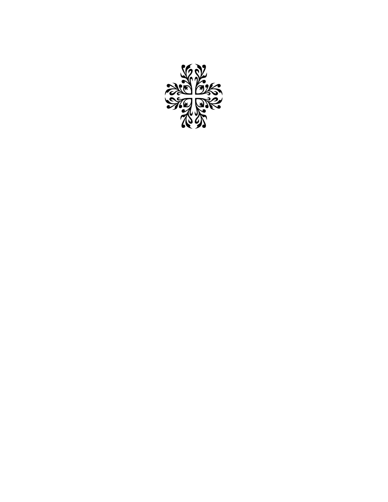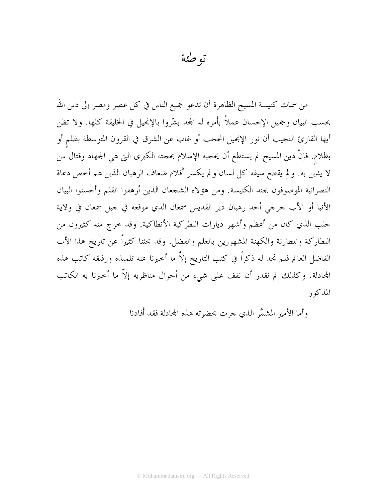من سمات كنيسة المسيح الظاهرة أن تدعو جميع الناس في كل عصر ومصر إلى دين الله بحسب البيان وجميل الإحسان عملاً بأمره له المحد بشّروا بالإنجيل في الخليقة كلها. ولا تظن أيها القارئ النجيب أن نور الإنجيل انحجب أو غاب عن الشرق في القرون المتوسطة بظلم أو بظلام. فإنَّ دين المسيح لم يستطع أن يحجبه الإسلام بحجته الكبرى التي هي الجهاد وقتال من لا يدين به. و لم يقطع سيفه كل لسان و لم يكسر أقلام ضعاف الرهبان الذين هم أخص دعاة النصرانية الموصوفون بجند الكنيسة. ومن هؤلاء الشجعان الذين أرهفوا القلم وأحسنوا البيان الأنبا أو الأب جرجي أحد رهبان دير القديس سمعان الذي موقعه في جبل سمعان في ولاية حلب الذي كان من أعظم وأشهر ديارات البطركية الأنطاكية. وقد خرج منه كثيرون من البطاركة والمطارنة والكهنة المشهورين بالعلم والفضل. وقد بحثنا كثيراً عن تاريخ هذا الأب الفاضل العالم فلم نجد له ذكراً في كتب التاريخ إلاَّ ما أخبرنا عنه تلميذه ورفيقه كاتب هذه المحادلة. وكذلك لم نقدر أن نقف على شيء من أحوال مناظريه إلاّ ما أخبرنا به الكاتب المذكور

وأما الأمير المشمَّر الذي جرت بحضرته هذه المحادلة فقد أَفادنا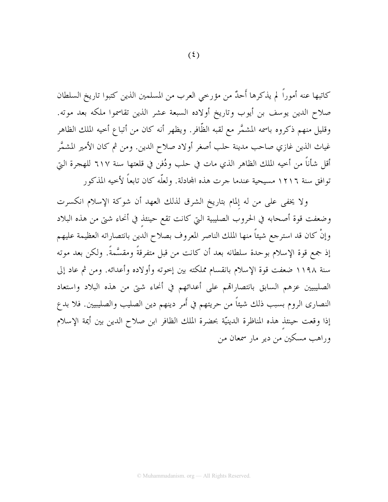كاتبها عنه أموراً لم يذكرها أحدٌ من مؤرخي العرب من المسلمين الذين كتبوا تاريخ السلطان صلاح الدين يوسف بن أيوب وتاريخ أولاده السبعة عشر الذين تقاسموا ملكه بعد موته. وقليل منهم ذكروه باسمه المشمَّر مع لقبه الظَّافر. ويظهر أنه كان من أتباع أخيه الملك الظاهر غياث الذين غازي صاحب مدينة حلب أصغر أولاد صلاح الدين. ومن ثم كان الأمير المشمَّر أقل شأناً من أخيه الملك الظاهر الذي مات في حلب ودُفن في قلعتها سنة ٦١٧ للهجرة التي توافق سنة ١٢١٦ مسيحية عندما جرت هذه المحادلة. ولعلَّه كان تابعاً لأخيه المذكور

ولا يخفى على من له إلمام بتاريخ الشرق لذلك العهد أن شوكة الإسلام انكسرت وضعفت قوة أصحابه في الحروب الصليبية التي كانت تقع حينئذ في أنحاء شتى من هذه البلاد وإنْ كان قد استرجع شيئاً منها الملك الناصر المعروف بصلاح الدين بانتصاراته العظيمة عليهم إذ جمع قوة الإسلام بوحدة سلطانه بعد أن كانت من قبل متفرقةً ومقسَّمةً. ولكن بعد موته سنة ١١٩٨ ضعفت قوة الإسلام بانقسام مملكته بين إحوته وأولاده وأعدائه. ومن ثم عاد إلى الصليبيين عزهم السابق بانتصاراقمم على أعدائهم في أنحاء شتى من هذه البلاد واستعاد النصاري الروم بسبب ذلك شيئاً من حريتهم في أمر دينهم دين الصليب والصليبيين. فلا بدع إذا وقعت حينئذ هذه المناظرة الدينيّة بحضرة الملك الظافر ابن صلاح الدين بين أيمة الإسلام وراهب مسکین من دیر مار سمعان من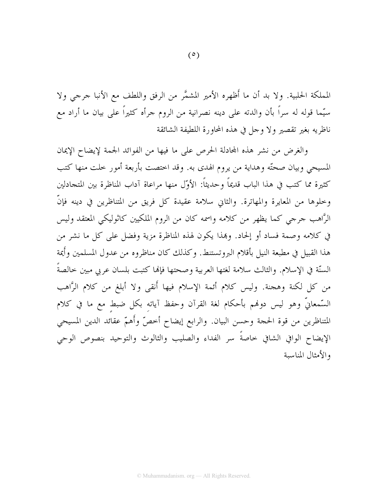المملكة الحلبية. ولا بد أن ما أظهره الأمير المشمَّر من الرفق واللطف مع الأنبا جرجي ولا سيّما قوله له سراً بأن والدته على دينه نصرانية من الروم حرأه كثيراً على بيان ما أراد مع ناظريه بغير تقصير ولا وجل في هذه المحاورة اللطيفة الشائقة

والغرض من نشر هذه المحادلة الحرص على ما فيها من الفوائد الجمة لإيضاح الإيمان المسيحي وبيان صحتَّه وهداية من يروم الهدي به. وقد اختصت بأربعة أمور حلت منها كتب كثيرة مما كتب في هذا الباب قديماً وحديثاً: الأوّل منها مراعاة آداب المناظرة بين المتحادلين وخلوها من المعايرة والمهاترة. والثاني سلامة عقيدة كل فريق من المتناظرين في دينه فإنّ الرَّاهب جرحى كما يظهر من كلامه واسمه كان من الروم الملكيين كاثوليكي المعتقد وليس في كلامه وصمة فساد أو إلحاد. وهذا يكون لهذه المناظرة مزية وفضل على كل ما نشر من هذا القبيل في مطبعة النيل بأقلام البروتستنط. وكذلك كان مناظروه من عدول المسلمين وأيمة السنَّة في الإسلام. والثالث سلامة لغتها العربية وصحتها فإلها كتبت بلسان عربي مبين حالصةُ من كل لكنة وهجنة. وليس كلام أئمة الإسلام فيها أُنقى ولا أبلغ من كلام الرَّاهب السَّمعانيَّ وهو ليس دولهم بأحكام لغة القرآن وحفظ آياته بكل ضبط مع ما في كلام المتناظرين من قوة الحجة وحسن البيان. والرابع إيضاح أخصّ وأُهمّ عقائد الدين المسيحي الإيضاح الوافي الشافي حاصةً سر الفداء والصليب والثالوث والتوحيد بنصوص الوحى والأمثال المناسبة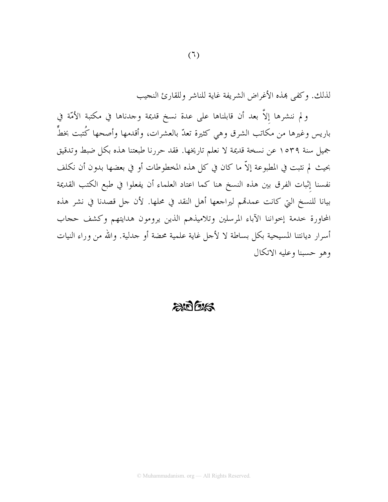لذلك. وكفى هذه الأغراض الشريفة غاية للناشر وللقارئ النجيب

و لم ننشرها إلاَّ بعد أن قابلناها على عدة نسخ قديمة وحدناها في مكتبة الأمّة في باريس وغيرها من مكاتب الشرق وهي كثيرة تعدّ بالعشرات، وأقدمها وأصحها كُتبت بخطٍّ جميل سنة ١٥٣٩ عن نسخة قديمة لا نعلم تاريخها. فقد حررنا طبعتنا هذه بكل ضبط وتدقيق بحيث لم نثبت في المطبوعة إلاَّ ما كان في كل هذه المخطوطات أو في بعضها بدون أن نكلف نفسنا إثبات الفرق بين هذه النسخ هنا كما اعتاد العلماء أن يفعلوا في طبع الكتب القديمة بيانا للنسخ التي كانت عمدتمم ليراجعها أهل النقد في محلها. لأن حل قصدنا في نشر هذه المحاورة حدمة إحواننا الآباء المرسلين وتلاميذهم الذين يرومون هدايتهم وكشف حجاب أسرار ديانتنا المسيحية بكل بساطة لا لأحل غاية علمية محضة أو جدلية. والله من وراء النيات وهو حسبنا وعليه الاتكال

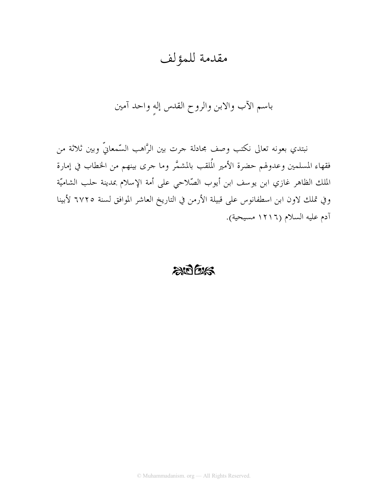## مقدمة للمؤلف

باسم الآب والابن والروح القدس إله واحد آمين

نبتدي بعونه تعالى نكتب وصف مجادلة حرت بين الرَّاهب السّمعانيّ وبين ثلاثة من فقهاء المسلمين وعدولهم حضرة الأمير المُلقب بالمشمَّر وما حرى بينهم من الخطاب في إمارة الملك الظاهر غازي ابن يوسف ابن أيوب الصّلاحي على أمة الإسلام بمدينة حلب الشاميّة وفي تملك لاون ابن اسطفانوس على قبيلة الأرمن في التاريخ العاشر الموافق لسنة ٦٧٢٥ لأبينا آدم عليه السلام (١٢١٦ مسيحية).

## ad bis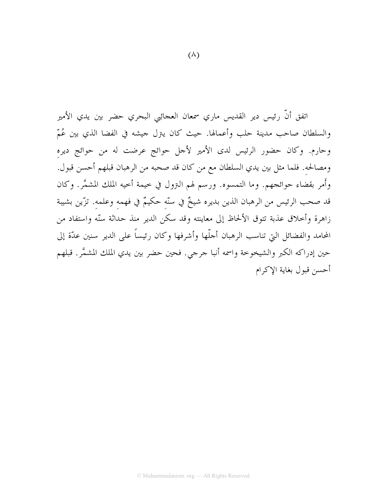اتفق أنَّ رئيس دير القديس ماري سمعان العجائبي البحري حضر بين يدي الأمير والسلطان صاحب مدينة حلب وأعمالها. حيث كان يترل حيشه في الفضا الذي بين عُمّ وحارم. وكان حضور الرئيس لدى الأمير لأحل حوائج عرضت له من حوائج ديره ومصالحه. فلما مثل بين يدي السلطان مع من كان قد صحبه من الرهبان قبلهم أحسن قبول. وأُمر بقضاء حوائجهم. وما التمسوه. ورسم لهم النزول في حيمة أخيه الملك المشمَّر. وكان قد صحب الرئيس من الرهبان الذين بديره شيخٌ في سنّه حكيمٌ في فهمه وعلمه. تزّين بشيبة زاهرة وأخلاق عذبة تتوق الألحاظ إلى معاينته وقد سكن الدير منذ حداثة سنّه واستفاد من المحامد والفضائل التي تناسب الرهبان أحلّها وأشرفها وكان رئيساً على الدير سنين عدّة إلى حين إدراكه الكبر والشيخوخة واسمه أنبا حرجي. فحين حضر بين يدي الملك المشمَّر. قبلهم أحسن قبول بغاية الإكرام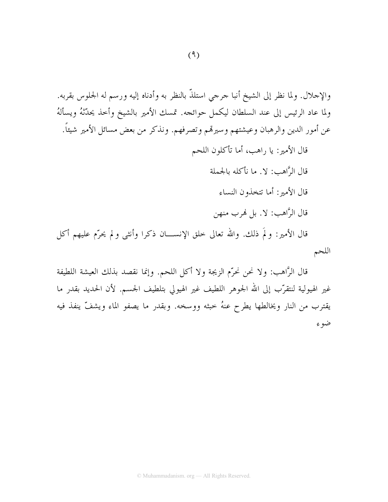قال الأمير: و لَم ذلك. والله تعالى خلق الإنســـان ذكرا وأنثى و لم يحرّم عليهم أكل اللحم

قال الرَّاهب: لا. بل هُرب منهن

قال الرَّاهب: ولا نحن نحرَّم الزيجة ولا أكل اللحم. وإنما نقصد بذلك العيشة اللطيفة غير الهيولية لنتقرَّب إلى الله الجحوهر اللطيف غير الهيولي بتلطيف الجسم. لأن الحديد بقدر ما يقترب من النار ويخالطها يطرح عنهُ حبثه ووسخه. وبقدر ما يصفو الماء ويشفّ ينفذ فيه ضوء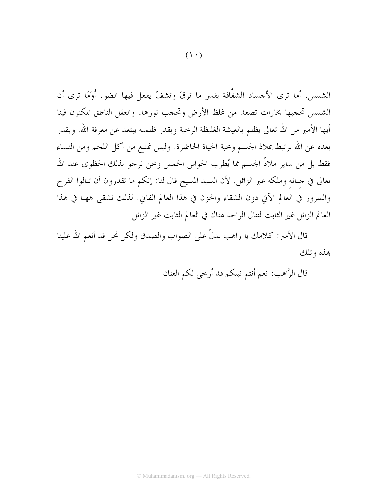الشمس. أما ترى الأجساد الشفَّافة بقدر ما ترقَّ وتشفَّ يفعل فيها الضو. أَوَمَا ترى أن الشمس تحجبها بخارات تصعد من غلظ الأرض وتحجب نورها. والعقل الناطق المكنون فينا أيها الأمير من الله تعالى يظلم بالعيشة الغليظة الرخية وبقدر ظلمته يبتعد عن معرفة الله. وبقدر بعده عن الله يرتبط بملاذ الجسم ومحبة الحياة الحاضرة. وليس نمتنع من أكل اللحم ومن النساء فقط بل من ساير ملاذّ الجسم مما يُطرب الحواس الخمس ونحن نرجو بذلك الحظوى عند الله تعالى في جنانه وملكه غير الزائل. لأن السيد المسيح قال لنا: إنكم ما تقدرون أن تنالوا الفرح والسرور في العالم الآتي دون الشقاء والحزن في هذا العالم الفاني. لذلك نشقى ههنا في هذا العالم الزائل غير الثابت لننال الراحة هناك في العالم الثابت غير الزائل

قال الأمير: كلامك يا راهب يدلُّ على الصواب والصدق ولكن نحن قد أنعم الله علينا بهذه وتلك

قال الرَّاهب: نعم أنتم نبيكم قد أرخى لكم العنان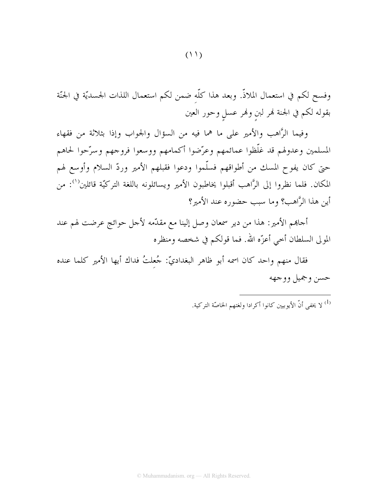وفسح لكم في استعمال الملاذّ. وبعد هذا كلّه ضمن لكم استعمال اللذات الجسديّة في الجنّة بقوله لكم في الجنة نهر لبن ونهر عسل وحور العين

وفيما الرَّاهب والأمير على ما هما فيه من السؤال والجواب وإذا بثلاثة من فقهاء المسلمين وعدولهم قد غلّظوا عمائمهم وعرّضوا أكمامهم ووسعوا فروجهم وسرّحوا لحاهم حتى كان يفوح المسك من أطواقهم فسلَّموا ودعوا فقبلهم الأمير وردّ السلام وأوسع لهم المكان. فلما نظروا إلى الرَّاهب أقبلوا يخاطبون الأمير ويسائلونه باللغة التركيّة قائلين'': من أين هذا الرَّاهب؟ وما سبب حضوره عند الأمير؟

أجاهم الأمير: هذا من دير سمعان وصل إلينا مع مقدَّمه لأحل حوائج عرضت لهم عند المولى السلطان أخي أعزَّه الله. فما قولكم في شخصه ومنظره

فقال منهم واحد كان اسمه أبو ظاهر البغداديّ: جُعلتُ فداك أيها الأمير كلما عنده حسن وجميل ووجهه

<sup>(1)</sup> لا يخفى أنَّ الأيوبيين كانوا أكرادا ولغتهم الحاصَّة التركية.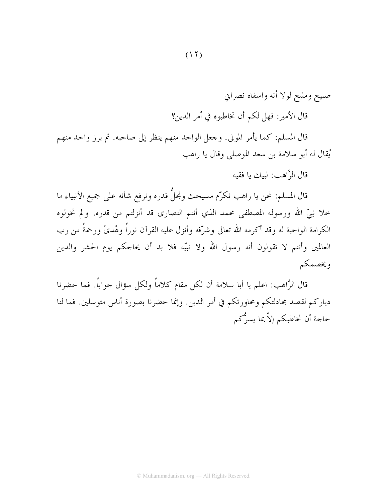قال الرَّاهب: ليبك با فقيه

قال المسلم: نحن يا راهب نكرّم مسيحك ونجلُّ قدره ونرفع شأنه على جميع الأنبياء ما حلا نبيِّ الله ورسوله المصطفى محمد الذي أنتم النصاري قد أنزلتم من قدره. ولم تخولوه الكرامة الواجبة له وقد أكرمه الله تعالى وشرَّفه وأنزل عليه القرآن نوراً وهُديَّ ورحمةً من رب العالمين وأنتم لا تقولون أنه رسول الله ولا نبيِّه فلا بد أن يحاجكم يوم الحشر والدين ويخصمكم

قال الرَّاهب: اعلم يا أبا سلامة أن لكل مقام كلاماً ولكل سؤال جواباً. فما حضرنا دياركم لقصد مجادلتكم ومحاورتكم في أمر الدين. وإنما حضرنا بصورة أناس متوسلين. فما لنا حاجة أن نخاطبكم إلاّ بما يسرُّكم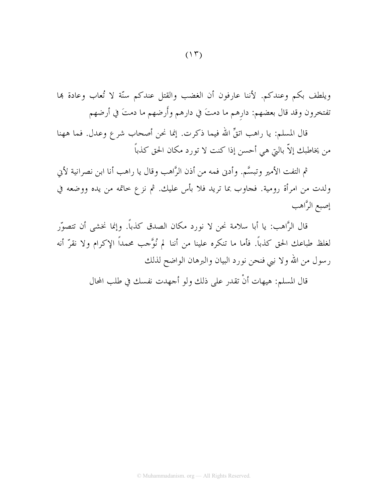ويلطف بكم وعندكم. لأننا عارفون أن الغضب والقتل عندكم سنّة لا تُعاب وعادة هما تفتخرون وقد قال بعضهم: دارهم ما دمتَ في دارهم وأَرضهم ما دمتَ في أرضهم

قال المسلم: يا راهب اتقِّ الله فيما ذكرت. إنما نحن أصحاب شرع وعدل. فما ههنا من يخاطبك إلاَّ بالتي هي أحسن إذا كنت لا تورد مكان الحق كذباً

ثم التفت الأمير وتبسَّم. وأدنى فمه من أذن الرَّاهب وقال يا راهب أنا ابن نصرانية لأني ولدت من امرأة رومية. فجاوب بما تريد فلا بأس عليك. ثم نزع خاتمه من يده ووضعه في إصبع الرَّاهب

قال الرَّاهب: يا أبا سلامة نحن لا نورد مكان الصدق كذباً. وإنما نخشى أن تتصوَّر لغلظ طباعك الحق كذباً. فأما ما تنكره علينا من أننا لم نُوَّجب محمداً الإكرام ولا نقرّ أنه رسول من الله ولا نبي فنحن نورد البيان والبرهان الواضح لذلك

قال المسلم: هيهات أنْ تقدر على ذلك ولو أجهدت نفسك في طلب المحال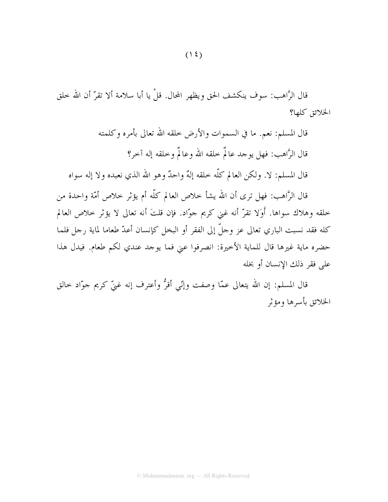قال الرَّاهب: سوف ينكشف الحق ويظهر المحال. قلْ يا أبا سلامة ألا تقرّ أن الله حلق الخلائق كلها؟

قال المسلم: نعم. ما في السموات والأرض خلقه الله تعالى بأمره وكلمته قال الرَّاهب: فهل يوجد عا لُمْ خلقه الله وعا لُمْ وخلقه إله آخر؟ قال المسلم: لا. ولكن العالم كلُّه خلقه إلهٌ واحدٌ وهو الله الذي نعبده ولا إله سواه

قال الرَّاهب: فهل ترى أن الله يشأ حلاص العالم كلَّه أم يؤثر حلاص أمَّة واحدة من خلقه وهلاك سواها. أَوَلا تقرّ أنه غني كريم جوّاد. فإن قلتَ أنه تعالى لا يؤثر خلاص العالم كله فقد نسبت الباري تعالى عز وجلَّ إلى الفقر أو البخل كإنسان أعدَّ طعاما لماية رجل فلما حضره ماية غيرها قال للماية الأخيرة: انصرفوا عني فما يوجد عندي لكم طعام. فيدل هذا على فقر ذلك الإنسان أو بخله

قال المسلم: إن الله يتعالى عمَّا وصفت وإنِّي أقرُّ وأعترف إنه غيَّ كريم جوَّاد خالق الخلائق بأسرها ومؤثر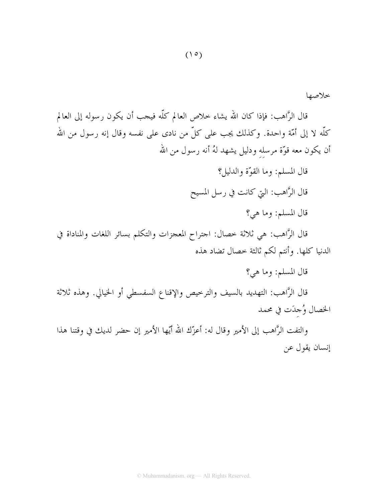قال الرَّاهب: فإذا كان الله يشاء خلاص العالم كلَّه فيجب أن يكون رسوله إلى العالم كلَّه لا إلى أمَّة واحدة. وكذلك يجب على كلِّ من نادي على نفسه وقال إنه رسول من الله أن يكون معه قوّة مرسله ودليل يشهد لهُ أنه رسول من الله

> قال المسلم: وما القوَّة والدليل؟ قال الرَّاهب: التي كانت في رسل المسيح قال المسلم: وما هي؟

قال الرَّاهب: هي ثلاثة خصال: احتراح المعجزات والتكلم بسائر اللغات والمناداة في الدنيا كلها. وأنتم لكم ثالثة حصال تضاد هذه

قال المسلم: وما هي؟

قال الرَّاهب: التهديد بالسيف والترخيص والإقناع السفسطى أو الخيالي. وهذه ثلاثة الخصال وُجدَت في محمد

والتفت الرَّاهب إلى الأمير وقال له: أعزَّك الله أيِّها الأمير إن حضر لديك في وقتنا هذا إنسان يقول عن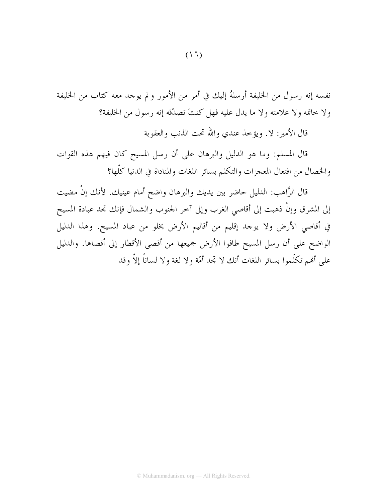نفسه إنه رسول من الخليفة أرسلهُ إليك في أمرٍ من الأمور ولم يوجد معه كتاب من الخليفة ولا خاتمه ولا علامته ولا ما يدل عليه فهل كنتَ تصدَّقه إنه رسول من الخليفة؟

قال الأمير: لا. ويؤخذ عندي والله تحت الذنب والعقوبة

قال المسلم: وما هو الدليل والبرهان على أن رسل المسيح كان فيهم هذه القوات والخصال من افتعال المعجزات والتكلم بسائر اللغات والمناداة في الدنيا كلّها؟

قال الرَّاهب: الدليل حاضر بين يديك والبرهان واضح أمام عينيك. لأنك إنَّ مضيت إلى المشرق وإنْ ذهبت إلى أقاصي الغرب وإلى آخر الجنوب والشمال فإنك تجد عبادة المسيح في أقاصي الأرض ولا يوحد إقليم من أقاليم الأرض يخلو من عباد المسيح. وهذا الدليل الواضح على أن رسل المسيح طافوا الأرض جميعها من أقصى الأقطار إلى أقصاها. والدليل على أَهُم تكلَّموا بسائر اللغات أنك لا تجد أمَّة ولا لغة ولا لساناً إلاَّ وقد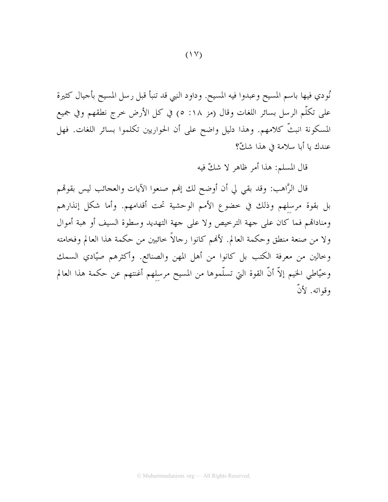نُودي فيها باسم المسيح وعبدوا فيه المسيح. وداود النبي قد تنبأ قبل رسل المسيح بأحيال كثيرة على تكلُّم الرسل بسائر اللغات وقال (مز ١٨: ٥) في كل الأرض حرج نطقهم وفي جميع المسكونة انبثَّ كلامهم. وهذا دليل واضح على أن الحواريين تكلموا بسائر اللغات. فهل عندك يا أبا سلامة في هذا شكَّ؟

قال المسلم: هذا أمر ظاهر لا شكِّ فيه

قال الرَّاهب: وقد بقي لي أن أوضح لك إلهم صنعوا الآيات والعجائب ليس بقوقمم بل بقوة مرسلهم وذلك في خضوع الأمم الوحشية تحت أقدامهم. وأما شكل إنذارهم ومناداقمم فما كان على جهة الترخيص ولا على جهة التهديد وسطوة السيف أو هبة أموال ولا من صنعة منطق وحكمة العالم. لأفمم كانوا رحالاً حائبين من حكمة هذا العالم وفخامته وخالين من معرفة الكتب بل كانوا من أهل المهن والصنائع. وأكثرهم صيّادي السمك وخيَّاطي الخيم إلاّ أنَّ القوة التي تسلَّموها من المسيح مرسلهم أغنتهم عن حكمة هذا العالم وقواته. لأنّ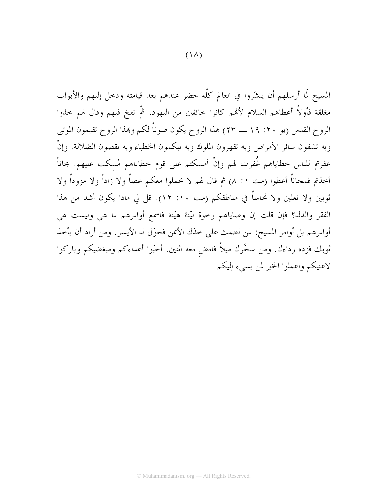المسيح لَّا أرسلهم أن يبشَّروا في العالم كلُّه حضر عندهم بعد قيامته ودخل إليهم والأبواب مغلقة فأولاً أعطاهم السلام لأفمم كانوا حائفين من اليهود. ثمّ نفخ فيهم وقال لهم حذوا الروح القدس (يو ٢٠: ١٩ ـــ ٢٣) هذا الروح يكون صوناً لكم وهذا الروح تقيمون الموتى وبه تشفون سائر الأمراض وبه تقهرون الملوك وبه تبكمون الخطباء وبه تقصون الضلالة. وإنْ غفرتم للناس حطاياهم غُفرت لهم وإنْ أمسكتم على قوم حطاياهم مُسكت عليهم. مجاناً أخذتم فمجاناً أعطوا (مت ١: ٨) ثم قال لهم لا تحملوا معكم عصاً ولا زاداً ولا مزوداً ولا ثوبين ولا نعلين ولا نحاساً في مناطقكم (مت ١٠: ١٢). قل لي ماذا يكون أشد من هذا الفقر والذلة؟ فإن قلت إن وصاياهم رحوة ليّنة هيّنة فاسمع أوامرهم ما هي وليست هي أوامرهم بل أوامر المسيح: من لطمك على حدَّك الأيمن فحوَّل له الأيسر. ومن أراد أن يأحذ ثوبك فزده رداءك. ومن سخَّرك ميلاً فامض معه اثنين. أحبُّوا أعداءكم ومبغضيكم وباركوا لاعنيكم واعملوا الخير لمن يسيء إليكم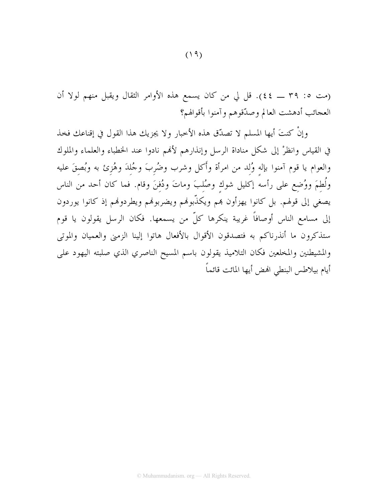(مت ٥: ٣٩ ــ ٤٤). قل لي من كان يسمع هذه الأوامر الثقال ويقبل منهم لولا أن العجائب أدهشت العالم وصدّقوهم وآمنوا بأقوالهم؟

وإنْ كنتَ أيها المسلم لا تصدَّق هذه الأخبار ولا يجزيك هذا القول في إقناعك فخذ في القياس وانظرْ إلى شكل مناداة الرسل وإنذارهم لأفمم نادوا عند الخطباء والعلماء والملوك والعوام يا قوم آمنوا بإله وُلد من امرأة وأكل وشرب وضُرِبَ وجُلدَ وهُزِئ به وبُصِقَ عليه ولُطمَ ووُضعٍ على رأسه إكليل شوك وصُلبَ وماتَ ودُفنَ وقامٍ. فما كان أحد من الناس يصغى إلى قولهم. بل كانوا يهزأون بمم ويكذّبونهم ويضربونهم ويطردونمم إذ كانوا يوردون إلى مسامع الناس أوصافاً غريبة ينكرها كلِّ من يسمعها. فكان الرسل يقولون يا قوم ستذكرون ما أنذرناكم به فتصدقون الأقوال بالأفعال هاتوا إلينا الزمني والعميان والموتى والمشيطنين والمخلعين فكان التلاميذ يقولون باسم المسيح الناصري الذي صلبته اليهود على أيام بيلاطس البنطي الهض أيها المائت قائماً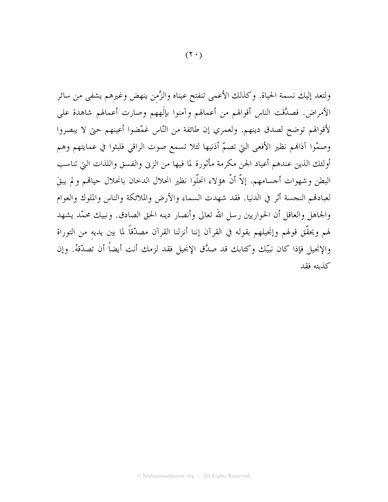ولتعد إليك نسمة الحياة. وكذلك الأعمى تنفتح عيناه والزَّمن ينهض وغيرهم يشفى من سائر الأمراض. فصدَّقت الناس أقوالهم من أعمالهم وآمنوا بإلَههم وصارت أعمالهم شاهدة على لأقوالهم توضح لصدق دينهم. ولعمري إن طائفة من النّاس غمّضوا أعينهم حتى لا يبصروا وصمّوا آذالهم نظير الأفعى التي تصمّ أذنيها لئلا تسمع صوت الراقي فلبثوا في عمايتهم وهم أولئك الذين عندهم أعياد الجن مكرمة مأثورة لما فيها من الزين والفسق واللذات التي تناسب البطن وشهوات أجسامهم. إلاَّ أنَّ هؤلاء انحلُّوا نظير انحلال الدحان بانحلال حيالهم ولم يبقَ لعبادقمم النجسة أثر في الدنيا. فقد شهدت السماء والأرض والملائكة والناس والملوك والعوام والجاهل والعاقل أن الحواريين رسل الله تعالى وأنصار دينه الحق الصادق. ونبيك محمّد يشهد لهم ويحقَّق قولهم وإنجيلهم بقوله في القرآن إننا أنزلنا القرآن مصدَّقاً لما بين يديه من التوراة والإنجيل فإذا كان نبيِّك وكتابك قد صدَّق الإنجيل فقد لزمك أنت أيضاً أن تصدَّقهُ. وإن كذبته فقد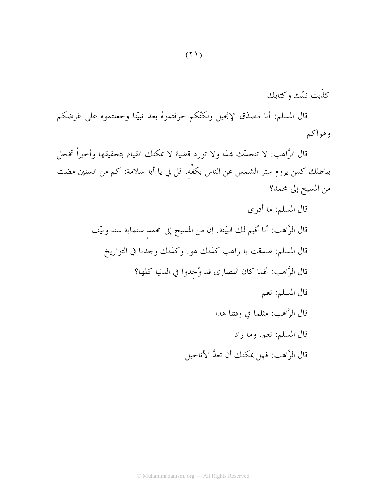كذَّىت نَبَّكَ وكتابك

قال المسلم: أنا مصدِّق الإنجيل ولكنَّكم حرفتموهُ بعد نبيِّنا وجعلتموه على غرضكم وهواكم

قال الرَّاهب: لا تتحدَّث هذا ولا تورد قضية لا يمكنك القيام بتحقيقها وأخيراً تخجل بباطلك كمن يروم ستر الشمس عن الناس بكفِّه. قل لي يا أبا سلامة: كم من السنين مضت من المسيح إلى محمد؟

> قال المسلم: ما أدري قال الرَّاهب: أنا أقيم لك البيّنة. إن من المسيح إلى محمدٍ ستماية سنة ونيّف قال المسلم: صدقت يا راهب كذلك هو. وكذلك وحدنا في التواريخ قال الرَّاهب: أفما كان النصارى قد وُجدوا في الدنيا كلها؟ قال المسلم: نعم قال الرَّاهب: مثلما في وقتنا هذا قال المسلم: نعم. وما زاد قال الرَّاهب: فهل يمكنك أن تعدَّ الأناجيل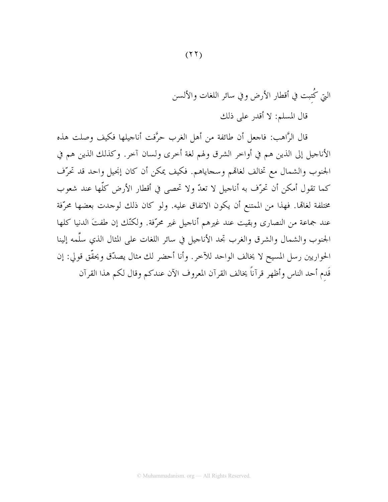قال الرَّاهب: فاجعل أن طائفة من أهل الغرب حرَّفت أناجيلها فكيف وصلت هذه الأناجيل إلى الذين هم في أواخر الشرق ولهم لغة أخرى ولسان آخر. وكذلك الذين هم في الجنوب والشمال مع تخالف لغاقم وسجاياهم. فكيف يمكن أن كان إنجيل واحد قد تحرُّف كما تقول أمكن أن تحرُّف به أناجيل لا تعدُّ ولا تحصي في أقطار الأرض كلُّها عند شعوب مختلفة لغاتما. فهذا من الممتنع أن يكون الاتفاق عليه. ولو كان ذلك لوجدت بعضها محرِّفة عند جماعة من النصاري وبقيت عند غيرهم أناحيل غير محرِّفة. ولكنَّك إن طفتَ الدنيا كلها الجنوب والشمال والشرق والغرب تجد الأناجيل في سائر اللغات على المثال الذي سلَّمه إلينا الحواريين رسل المسيح لا يخالف الواحد للآخر. وأنا أحضر لك مثال يصدِّق ويحقَّق قولي: إن قَدم أحد الناس وأظهر قرآناً يخالف القرآن المعروف الآن عندكم وقال لكم هذا القرآن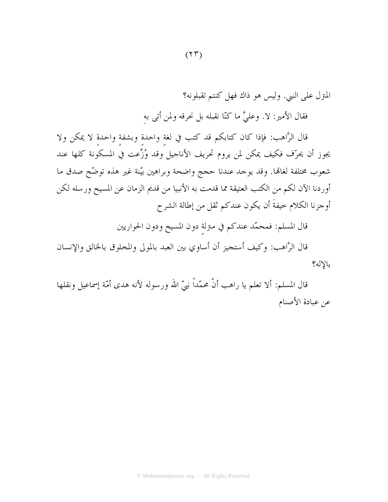المترل على النبي. وليس هو ذاك فهل كنتم تقبلونه؟

فقال الأمير: لا. وعليَّ ما كنّا نقبله بل نحرقه ولمن أتبي به

قال الرَّاهب: فإذا كان كتابكم قد كتب في لغة واحدة وبشفة واحدة لا يمكن ولا يجوز أن يحرّف فكيف يمكن لمن يروم تحريف الأناحيل وقد وُزِّعت في المسكونة كلها عند شعوب مختلفة لغالها. وقد يوجد عندنا حجج واضحة وبراهين بيّنة غير هذه توضّح صدق ما أوردنا الآن لكم من الكتب العتيقة مما قدمت به الأنبيا من قديم الزمان عن المسيح ورسله لكن أوجزنا الكلام خيفةَ أن يكون عندكم ثقل من إطالة الشرح

قال المسلم: فمحمَّد عندكم في مترلةٍ دون المسيح ودون الحواريين

قال الرَّاهب: وكيف أستجيزٍ أن أساوي بين العبد بالمولى والمخلوق بالخالق والإنسان بالإله؟

قال المسلم: ألا تعلم يا راهب أنَّ محمّداً نبيّ الله ورسوله لأنه هدى أمّة إسماعيل ونقلها عن عبادة الأصنام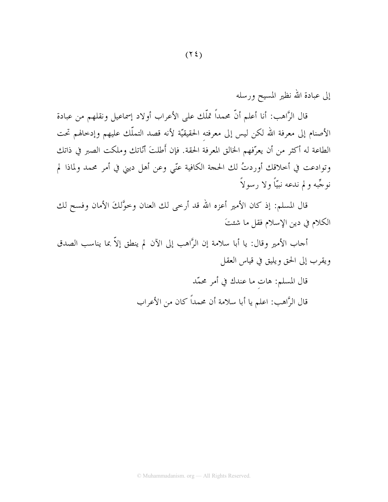إلى عبادة الله نظير المسيح ورسله

قال الرَّاهب: أنا أعلم أنَّ محمداً تملُّك على الأعراب أولاد إسماعيل ونقلهم من عبادة الأصنام إلى معرفة الله لكن ليس إلى معرفته الحقيقيَّة لأنه قصد التملُّك عليهم وإدخالهم تحت الطاعة له أكثر من أن يعرّفهم الخالق المعرفة الحقة. فإن أطلتَ أنّاتك وملكت الصبر في ذاتك وتوادعت في أخلاقك أوردتُ لك الحجة الكافية عنّي وعن أهل ديني في أمر محمد ولماذا لم نوجِّبه و لم ندعه نبيّاً ولا رسولاً

قال المسلم: إذ كان الأمير أعزه الله قد أرحى لك العنان وخوَّلكَ الأمان وفسح لك الكلام في دين الإسلام فقل ما شئتَ

أجاب الأمير وقال: يا أبا سلامة إن الرَّاهب إلى الآن لم ينطق إلاَّ بما يناسب الصدق ويقرب إلى الحق ويليق في قياس العقل

> قال المسلم: هات ما عندك في أمر محمّد قال الرَّاهب: اعلم يا أبا سلامة أن محمداً كان من الأعراب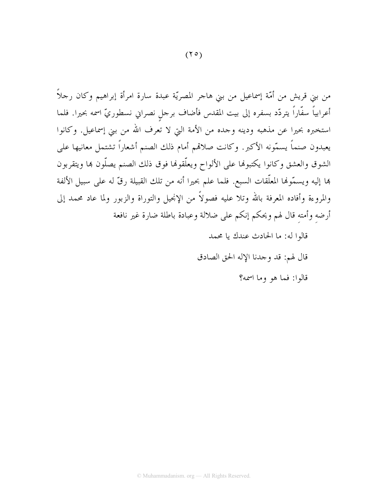من بني قريش من أمّة إسماعيل من بني هاجر المصريّة عبدة سارة امرأة إبراهيم وكان رحلاً ً أعرابياً سفَّاراً يتردَّد بسفره إلى بيت المقدس فأضاف برحل نصراني نسطوريّ اسمه بحيرا. فلما استخبره بحيرًا عن مذهبه ودينه وحده من الأمة التي لا تعرف الله من بني إسماعيل. وكانوا يعبدون صنماً يسمّونه الأكبر. وكانت صلاقمم أمام ذلك الصنم أشعاراً تشتمل معانيها على الشوق والعشق وكانوا يكتبونها على الألواح ويعلّقولها فوق ذلك الصنم يصلّون ها ويتقربون هما إليه ويسمّوها المعلّقات السبع. فلما علم بحيرا أنه من تلك القبيلة رقّ له على سبيل الألفة والمروءة وأفاده المعرفة بالله وتلا عليه فصولاً من الإنجيل والتوراة والزبور ولما عاد محمد إلى أرضه وأمته قال لهم ويحكم إنكم على ضلالة وعبادة باطلة ضارة غير نافعة قالوا له: ما الحادث عندك يا محمد

قال لهم: قد وجدنا الإله الحق الصادق

قالوا: فما هو وما اسمه؟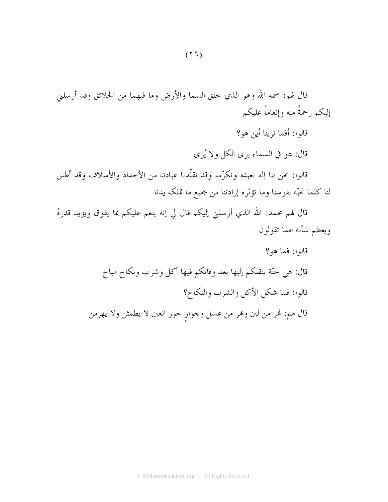قال لهم: اسمه الله وهو الذي خلق السما والأرض وما فيهما من الخلائق وقد أرسلني إليكم رحمةً منه وإنعاماً عليكم

قالوا: أفما ترينا أين هو؟

قال: هو في السماء يرى الكل ولا يُرى

قالوا: نحن لنا إله نعبده ونكرَّمه وقد تقلَّدنا عبادته من الأجداد والأسلاف وقد أطلق لنا كلما تحبُّه نفوسنا وما تؤثَّره إرادتنا من جميع ما تملكه يدنا

قال لهم محمد: الله الذي أرسلني إليكم قال لي إنه ينعم عليكم بما يفوق ويزيد قدرهُ ويعظم شأنه عما تقولون

> قالوا: فما هو؟ قال: هي حنّة ينقلكم إليها بعد وفاتكم فيها أكل وشرب ونكاح مباح قالوا: فما شكل الأكل والشرب والنكاح؟ قال لهم: نُهر من لبن وفمر من عسل وجوارِ حور العين لا يطمثن ولا يهرمن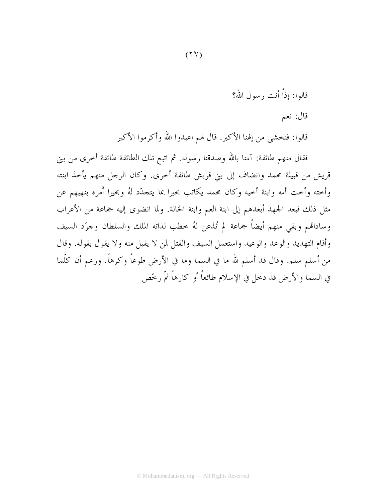قالوا: إذاً أنت , سول الله؟ قال: نعم

قالوا: فنخشى من إلهنا الأكبر. قال لهم اعبدوا الله وأكرموا الأكبر

فقال منهم طائفة: آمنا بالله وصدقنا رسوله. ثم اتبع تلك الطائفة طائفة أخرى من بني قريش من قبيلة محمد وانضاف إلى بني قريش طائفة أحرى. وكان الرجل منهم يأخذ ابنته وأخته وأحت أمه وابنة أخيه وكان محمد يكاتب بحيرا بما يتحدَّد لهُ وبحيرا أمره بنهيهم عن مثل ذلك فبعد الجهد أبعدهم إلى ابنة العم وابنة الخالة. ولما انضوى إليه جماعة من الأعراب وساداقمم وبقى منهم أيضاً جماعة لم تُذعن لهُ خطب لذاته الملك والسلطان وحرّد السيف وأقام التهديد والوعد والوعيد واستعمل السيف والقتل لمن لا يقبل منه ولا يقول بقوله. وقال من أسلم سلم. وقال قد أسلم لله ما في السما وما في الأرض طوعاً وكرهاً. وزعم أن كلَّما في السما والأرض قد دخل في الإسلام طائعاً أو كارهاً ثمّ رخّص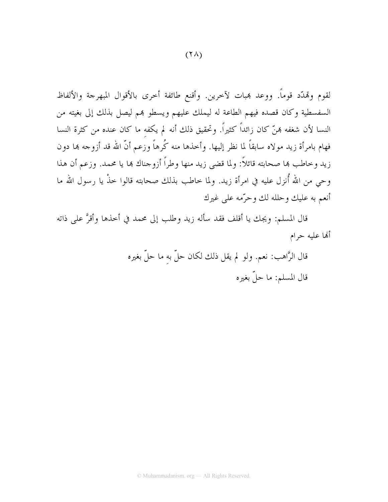لقوم وتمدّد قوماً. ووعد بمبات لآخرين. وأقنع طائفة أخرى بالأقوال المبهرجة والألفاظ السفسطية وكان قصده فيهم الطاعة له ليملك عليهم ويسطو بمم ليصل بذلك إلى بغيته من النسا لأن شغفه هِنَّ كان زائداً كثيراً. وتحقيق ذلك أنه لم يكفه ما كان عنده من كثرة النسا فهام بامرأة زيد مولاه سابقاً لما نظر إليها. وأخذها منه كُرهاً وزعم أنَّ الله قد أزوجه بما دون زيد وخاطب ها صحابته قائلاً: ولما قضي زيد منها وطراً أزوجناك ها يا محمد. وزعم أن هذا وحي من الله أُنزل عليه في امرأة زيد. ولما خاطب بذلك صحابته قالوا خذْ يا رسول الله ما أنعم به عليك وحلله لك وحرَّمه على غيرك

قال المسلم: ويجك يا أقلف فقد سأله زيد وطلب إلى محمد في أخذها وأقرَّ على ذاته أنها عليه حرام

> قال الرَّاهب: نعم. ولو لم يقل ذلك لكان حلَّ به ما حلَّ بغيره قال المسلم: ما حلَّ بغيره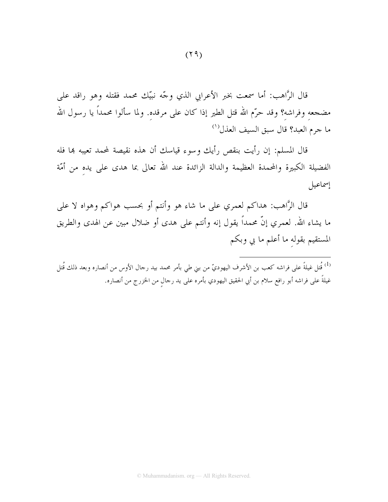قال الرَّاهب: أما سمعت بخبر الأعرابي الذي وجّه نبيّك محمد فقتله وهو راقد على مضجعه وفراشه؟ وقد حرَّم الله قتل الطير إذا كان على مرقده. ولما سألوا محمداً يا رسول الله ما جرم العبد؟ قال سبق السيف العذل ( ')

قال المسلم: إن رأيت بنقص رأيك وسوء قياسك أن هذه نقيصة لمحمد تعيبه هما فله الفضيلة الكبيرة والمحمدة العظيمة والدالة الزائدة عند الله تعالى بما هدى على يده من أمّة إسماعيل

قال الرَّاهب: هداكم لعمري على ما شاء هو وأنتم أو بحسب هواكم وهواه لا على ما يشاء الله. لعمري إنَّ محمداً يقول إنه وأنتم على هدى أو ضلال مبين عن الهدى والطريق المستقيم بقوله ما أعلم ما بي وبكم

<sup>1)</sup> قُتل غيلةً على فراشه كعب بن الأشرف اليهوديّ من بني طي بأمر محمد بيد رحال الأوس من أنصاره وبعد ذلك قُتل غيلةً على فراشه أبو رافع سلام بن أبي الحقيق اليهودي بأمره على يد رحالٍ من الخزرج من أنصاره.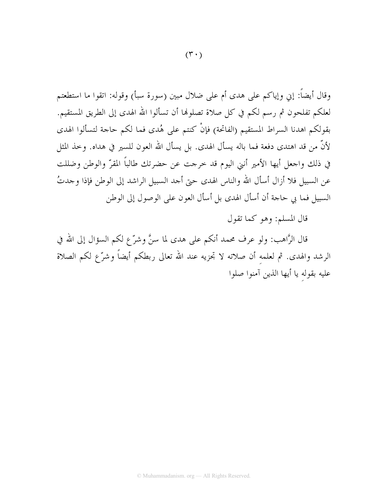وقال أيضاً: إني وإياكم على هدي أم على ضلال مبين (سورة سبأ) وقوله: اتقوا ما استطعتم لعلكم تفلحون ثم رسم لكم في كل صلاة تصلوها أن تسألوا الله الهدى إلى الطريق المستقيم. بقولكم اهدنا السراط المستقيم (الفاتحة) فإنْ كنتم على هُدى فما لكم حاجة لتسألوا الهدى لأنَّ من قد اهتدى دفعة فما باله يسأل الهدى. بل يسأل الله العون للسير في هداه. وحذ المثل في ذلك واجعل أيها الأمير أنني اليوم قد حرجت عن حضرتك طالباً المقرّ والوطن وضللت عن السبيل فلا أزال أسأل الله والناس الهدى حتى أحد السبيل الراشد إلى الوطن فإذا وحدتُ السبيل فما بي حاجة أن أسأل الهدى بل أسأل العون على الوصول إلى الوطن

قال المسلم: وهو كما تقول

قال الرَّاهب: ولو عرف محمد أنكم على هدى لما سنَّ وشرَّع لكم السؤال إلى الله في الرشد والهدى. ثم لعلمه أن صلاته لا تجزيه عند الله تعالى ربطكم أيضاً وشرَّع لكم الصلاة عليه بقوله يا أيها الذين آمنوا صلوا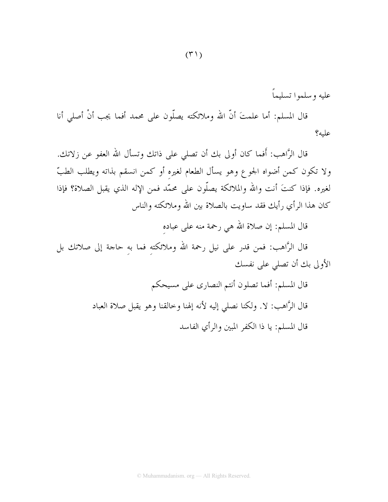عليه وسلموا تسليماً

قال المسلم: أما علمتَ أنَّ الله وملائكته يصلُّون على محمد أفما يجب أنْ أصلى أنا علىه؟

قال الرَّاهب: أَفما كان أولى بك أن تصلى على ذاتك وتسأل الله العفو عن زلاتك. ولا تكون كمن أضواه الجوع وهو يسأل الطعام لغيره أو كمن انسقم بذاته ويطلب الطبّ لغيره. فإذا كنتَ أنت والله والملائكة يصلُّون على محمَّد فمن الإله الذي يقبل الصلاة؟ فإذا كان هذا الرأي رأيك فقد ساويت بالصلاة بين الله وملائكته والناس

قال المسلم: إن صلاة الله هي رحمة منه على عباده

قال الرَّاهب: فمن قدر على نيل رحمة الله وملائكته فما به حاجة إلى صلاتك بل الأولى بك أن تصلى على نفسك

> قال المسلم: أفما تصلون أنتم النصاري على مسيحكم قال الرَّاهب: لا. ولكنا نصلي إليه لأنه إلهنا وخالقنا وهو يقبل صلاة العباد قال المسلم: يا ذا الكفر المبين والرأى الفاسد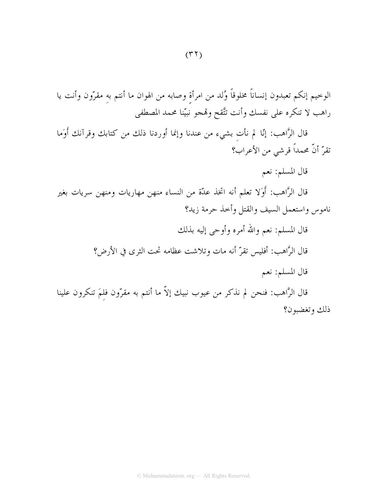قال الرَّاهب: إنَّا لم نأت بشيءٍ من عندنا وإنما أوردنا ذلك من كتابك وقرآنك أَوَما تقرَّ أنَّ محمداً قرشي من الأعراب؟

قال المسلم: نعم

قال الرَّاهب: أَوَلا تعلم أنه اتخذ عدّة من النساء منهن مهاريات ومنهن سريات بغير ناموس واستعمل السيف والقتل وأخذ حرمة زيد؟

قال المسلم: نعم والله أمره وأوحى إليه بذلك قال الرَّاهب: أفليس تقرَّ أنه مات وتلاشت عظامه تحت الثرى في الأرض؟ قال المسلم: نعم

قال الرَّاهب: فنحن لم نذكر من عيوب نبيك إلاّ ما أنتم به مقرّون فلمَ تنكرون علينا ذلك وتغضبون؟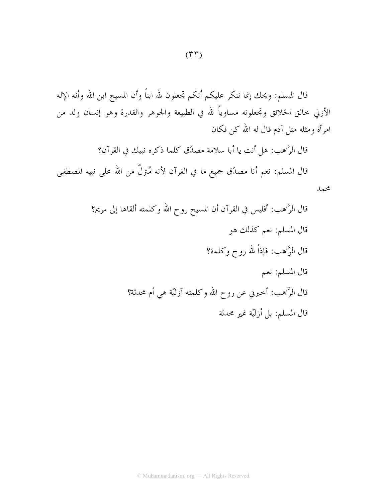قال المسلم: ويحك إنما ننكر عليكم أنكم تجعلون لله ابناً وأن المسيح ابن الله وأنه الإله الأزلي حالق الخلائق وتجعلونه مساوياً لله في الطبيعة والجوهر والقدرة وهو إنسان ولد من امرأة ومثله مثل آدم قال له الله كن فكان

قال الرَّاهب: هل أنت يا أبا سلامة مصدّق كلما ذكره نبيك في القرآن؟

قال المسلم: نعم أنا مصدّق جميع ما في القرآن لأنه مُترلٌ من الله على نبيه المصطفى محمد

قال الرّاهب: أفليس في القرات أن السيح روح الأّه وكلمته ألقاها إلى مريم؟
$$
:
$$
 قال السلم: نعم كذلك هو  
قال الرسلم: نعم  
قال السلم: نعم  
قال الرَّاهب: أخبرني عن روح الأّه وكلمته آزليّة هي أم عدثة?  
قال السلم: بل أزليّة غير عدثة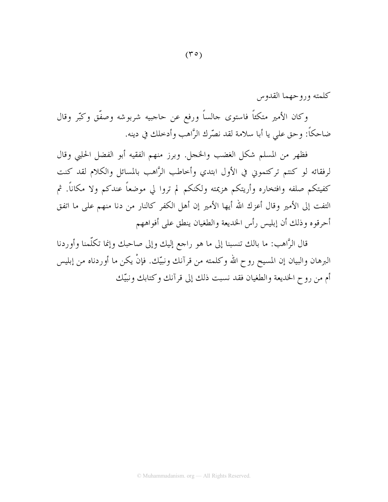كلمته وروحهما القدوس

وكان الأمير متكئاً فاستوى جالساً ورفع عن حاجبيه شربوشه وصفّق وكبّر وقال ضاحكاً: وحق على يا أبا سلامة لقد نصّرك الرَّاهب وأدخلك في دينه.

فظهر من المسلم شكل الغضب والخجل. وبرز منهم الفقيه أبو الفضل الحلبي وقال لرفقائه لو كنتم تركتموني في الأول ابتدي وأخاطب الرَّاهب بالمسائل والكلام لقد كنت كفيتكم صلفه وافتخاره وأريتكم هزيمته ولكنكم لم تروا لي موضعاً عندكم ولا مكاناً. ثم التفت إلى الأمير وقال أعزك الله أيها الأمير إن أهل الكفر كالنار من دنا منهم على ما اتفق أحرقوه وذلك أن إبليس رأس الخديعة والطغيان ينطق على أفواههم

قال الرَّاهب: ما بالك تنسبنا إلى ما هو راحع إليك وإلى صاحبك وإنما تكلَّمنا وأوردنا البرهان والبيان إن المسيح روح الله وكلمته من قرآنك ونبيّك. فإنْ يكن ما أوردناه من إبليس أم من روح الخديعة والطغيان فقد نسبت ذلك إلى قرآنك وكتابك ونبيّك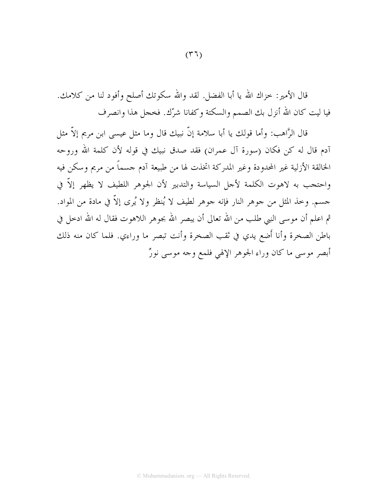قال الأمير: خزاك الله يا أبا الفضل. لقد والله سكوتك أصلح وأفود لنا من كلامك. فيا ليت كان الله أنزل بك الصمم والسكتة وكفانا شرّك. فخجل هذا وانصرف

قال الرَّاهب: وأما قولك يا أبا سلامة إنَّ نبيك قال وما مثل عيسى ابن مريم إلاَّ مثل آدم قال له كن فكان (سورة آل عمران) فقد صدق نبيك في قوله لأن كلمة الله وروحه الخالقة الأزلية غير المحدودة وغير المدركة اتخذت لها من طبيعة آدم جسماً من مريم وسكن فيه واحتجب به لاهوت الكلمة لأجل السياسة والتدبير لأن الجوهر اللطيف لا يظهر إلاّ في جسم. وخذ المثل من جوهر النار فإنه جوهر لطيف لا يُنظر ولا يُرى إلاّ في مادة من المواد. ثم اعلم أن موسى النبي طلب من الله تعالى أن يبصر الله بجوهر اللاهوت فقال له الله ادخل في باطن الصخرة وأنا أضع يدي في ثقب الصخرة وأنت تبصر ما وراءي. فلما كان منه ذلك أبصر موسى ما كان وراء الجوهر الإلهي فلمع وجه موسى نورٌ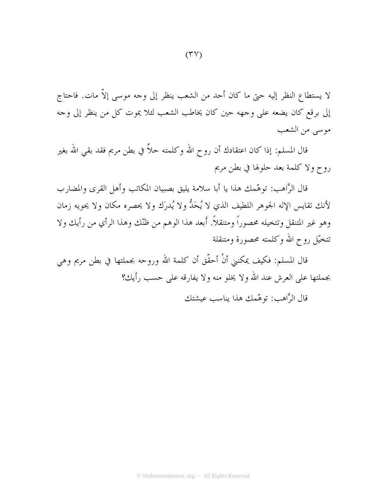قال المسلم: إذا كان اعتقادك أن روح الله وكلمته حلاًّ في بطن مريم فقد بقى الله بغير روح ولا كلمة بعد حلولها في بطن مريم

قال الرَّاهب: توهَّمك هذا يا أبا سلامة يليق بصبيان المكاتب وأهل القرى والمضارب لأنك تقايس الإله الجوهر اللطيف الذي لا يُحَدُّ ولا يُدرَك ولا يحصره مكان ولا يحويه زمان وهو غير المتنقل وتتخيله محصوراً ومتنقلاً. أبعد هذا الوهم من ظنّك وهذا الرأي من رأيك ولا تتخيّل روح الله وكلمته محصورة ومتنقلة

قال المسلم: فكيف يمكنين أنْ أحقَّق أن كلمة الله وروحه بجملتها في بطن مريم وهي بجملتها على العرش عند الله ولا يخلو منه ولا يفارقه على حسب رأيك؟

قال الرَّاهب: توهَّمك هذا يناسب عيشتك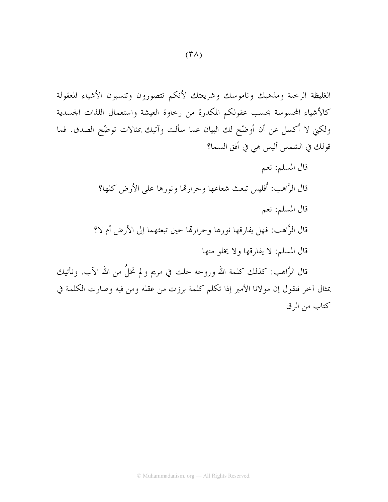قال المسلم: نعم قال الرَّاهب: أَفليس تبعث شعاعها وحرارتها ونورها على الأرض كلها؟ قال المسلم: نعم قال الرَّاهب: فهل يفارقها نورها وحرارتما حين تبعثهما إلى الأرض أم لا؟ قال المسلم: لا يفارقها ولا يخلو منها قال الرَّاهب: كذلك كلمة الله وروحه حلت في مريم و لم تخلُّ من الله الآب. ونأتيك

بمثال آخر فنقول إن مولانا الأمير إذا تكلم كلمة برزت من عقله ومن فيه وصارت الكلمة في كتاب من الرق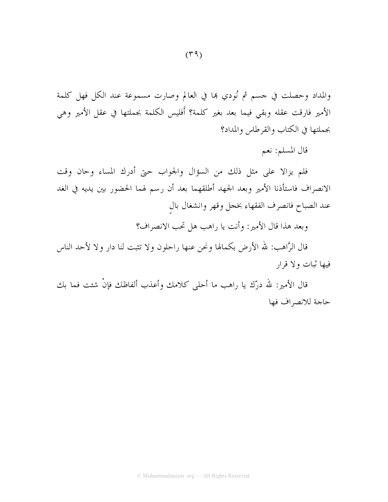والمداد وحصلت في حسم ثم نُودي ها في العالم وصارت مسموعة عند الكل فهل كلمة الأمير فارقت عقله وبقى فيما بعد بغير كلمة؟ أُفليس الكلمة بجملتها في عقل الأمير وهي بجملتها في الكتاب والقرطاس والمداد؟

قال المسلم: نعم

فلم يزالا على مثل ذلك من السؤال والجواب حتى أدرك المساء وحان وقت الانصراف فاستأذنا الأمير وبعد الجهد أطلقهما بعد أن رسم لهما الحضور بين يديه في الغد عند الصباح فانصرف الفقهاء بخحل وقهر وانشغال بال

وبعد هذا قال الأمير: وأنت يا راهب هل تحب الانصراف؟

قال الرَّاهب: لله الأرض بكمالها ونحن عنها راحلون ولا تثبت لنا دار ولا لأحد الناس فيها ثبات ولا قرار

قال الأمير: لله درّك يا راهب ما أحلي كلامك وأعذب ألفاظك فإنْ شئت فما بك حاجة للانصراف فها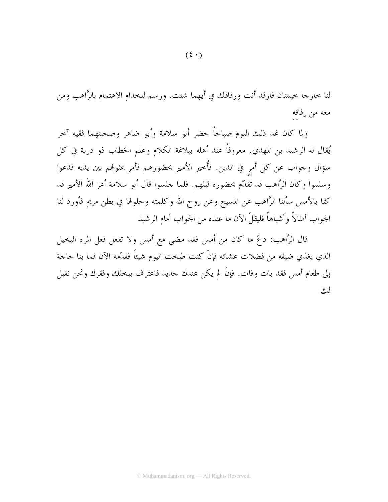لنا خارجا خيمتان فارقد أنت ورفاقك في أيهما شئت. ورسم للخدام الاهتمام بالرَّاهب ومن معه من رفاقه

ولما كان غد ذلك اليوم صباحاً حضر أبو سلامة وأبو ضاهر وصحبتهما فقيه آحر يُقال له الرشيد بن المهدي. معروفاً عند أهله ببلاغة الكلام وعلم الخطاب ذو دربة في كل سؤال وجواب عن كل أمر في الدين. فأُخير الأمير بحضورهم فأمر بمثولهم بين يديه فدعوا وسلموا وكان الرَّاهب قد تقدَّم بحضوره قبلهم. فلما حلسوا قال أبو سلامة أعز الله الأمير قد كنا بالأمس سألنا الرَّاهب عن المسيح وعن روح الله وكلمته وحلولها في بطن مريم فأورد لنا الجواب أمثالاً وأشباهاً فليقلْ الآن ما عنده من الجواب أمام الرشيد

قال الرَّاهب: دعْ ما كان من أمس فقد مضى مع أمس ولا تفعل فعل المرء البخيل الذي يغذي ضيفه من فضلات عشائه فإنْ كنت طبخت اليوم شيئاً فقدّمه الآن فما بنا حاجة إلى طعام أمس فقد بات وفات. فإنْ لم يكن عندك حديد فاعترف ببخلك وفقرك ونحن نقبل لك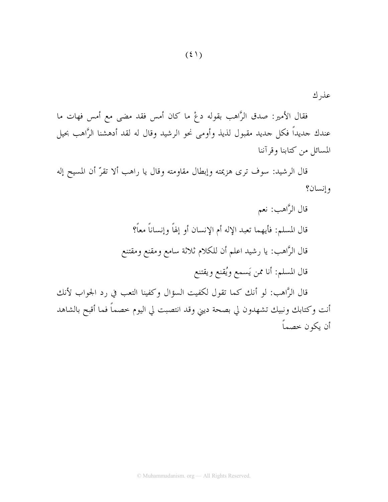فقال الأمير: صدق الرَّاهب بقوله دعْ ما كان أمس فقد مضى مع أمس فهات ما عندك حديداً فكل حديد مقبول لذيذ وأومى نحو الرشيد وقال له لقد أدهشنا الرَّاهب بحيل المسائل من كتابنا وقرآننا

قال الرشيد: سوف ترى هزيمته وإبطال مقاومته وقال يا راهب ألا تقرّ أن المسيح إله وإنسان؟

> قال الرَّاهب: نعم قال المسلم: فأيهما تعبد الإله أم الإنسان أو إلهاً وإنساناً معاً؟ قال الرَّاهب: يا رشيد اعلم أن للكلام ثلاثة سامع ومقنع ومقتنع قال المسلم: أنا ممن يَسمع ويُقنع ويقتنع

قال الرَّاهب: لو أنك كما تقول لكفيت السؤال وكفينا التعب في رد الجواب لأنك أنت وكتابك ونبيك تشهدون لي بصحة ديني وقد انتصبت لي اليوم خصماً فما أقبح بالشاهد أن يكون خصماً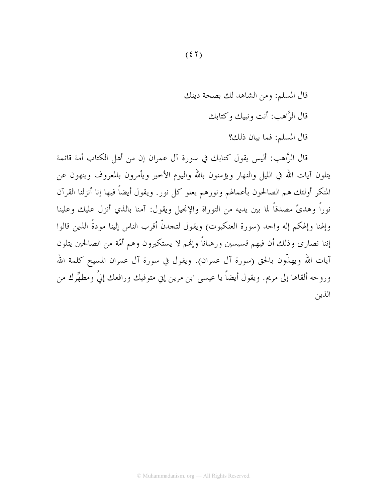قال المسلم: ومن الشاهد لك بصحة دينك قال الرَّاهب: أنت ونبيك وكتابك

قال المسلم: فما بيان ذلك؟

قال الرَّاهب: أليس يقول كتابك في سورة آل عمران إن من أهل الكتاب أمة قائمة يتلون آيات الله في الليل والنهار ويؤمنون بالله واليوم الأخير ويأمرون بالمعروف وينهون عن المنكر أولئك هم الصالحون بأعمالهم ونورهم يعلو كل نور. ويقول أيضاً فيها إنا أنزلنا القرآن نوراً وهدىً مصدقاً لما بين يديه من التوراة والإنجيل ويقول: آمنا بالذي أنزل عليك وعلينا وإلهنا وإلهكم إله واحد (سورة العنكبوت) ويقول لتجدنَّ أقرب الناس إلينا مودةً الذين قالوا إننا نصاري وذلك أن فيهم قسيسين ورهباناً وإنهم لا يستكبرون وهم أمّة من الصالحين يتلون آيات الله ويهذُّون بالحق (سورة آل عمران). ويقول في سورة آل عمران المسيح كلمة الله وروحه ألقاها إلى مريم. ويقول أيضاً يا عيسى ابن مرين إين متوفيك ورافعك إلىَّ ومطهِّرك من الذين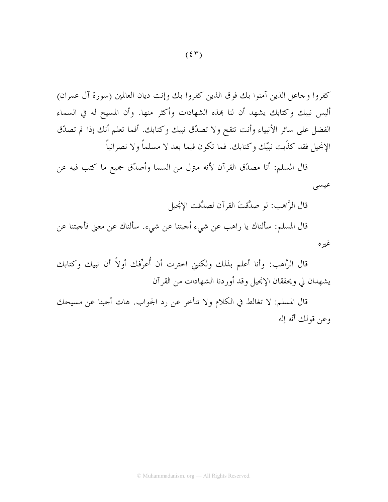كفروا وجاعل الذين آمنوا بك فوق الذين كفروا بك وإنت ديان العالمين (سورة آل عمران) أليس نبيك وكتابك يشهد أن لنا بهذه الشهادات وأكثر منها. وأن المسيح له في السماء الفضل على سائر الأنبياء وأنت تتقح ولا تصدّق نبيك وكتابك. أفما تعلم أنك إذا لم تصدّق الإنجيل فقد كذَّبت نبيِّك وكتابك. فما تكون فيما بعد لا مسلماً ولا نصرانياً

قال المسلم: أنا مصدِّق القرآن لأنه مترل من السما وأصدِّق جميع ما كتب فيه عن عيسى

قال الرَّاهب: لو صدَّقتَ القرآن لصدَّقت الإنجيل

قال المسلم: سألناك يا راهب عن شيء أحبتنا عن شيء. سألناك عن معنى فأجبتنا عن غيره

قال الرَّاهب: وأنا أعلم بذلك ولكنني اخترت أن أُعرِّفك أولاً أن نبيك وكتابك يشهدان لي ويحققان الإنجيل وقد أوردنا الشهادات من القرآن

قال المسلم: لا تغالط في الكلام ولا تتأخر عن رد الجواب. هات أجبنا عن مسيحك وعن قولك أنَّه إله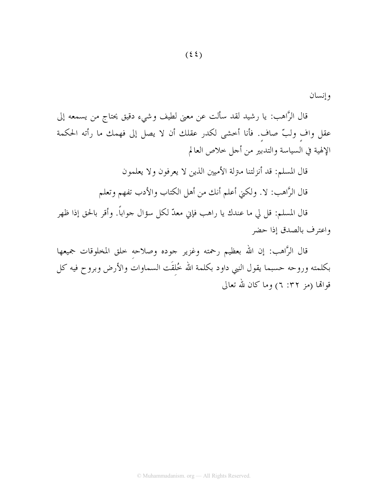قال الرَّاهب: يا رشيد لقد سألت عن معنى لطيف وشيء دقيق يحتاج من يسمعه إلى عقل واف ولبَّ صاف. فأنا أخشى لكدر عقلك أن لا يصل إلى فهمك ما رأته الحكمة الإلهية في السياسة والتدبير من أجل خلاص العالم

قال المسلم: قد أنزلتنا متزلة الأميين الذين لا يعرفون ولا يعلمون

قال الرَّاهب: لا. ولكني أعلم أنك من أهل الكتاب والأدب تفهم وتعلم

قال المسلم: قل لي ما عندك يا راهب فإني معدّ لكل سؤال جواباً. وأقر بالحق إذا ظهر واعترف بالصدق إذا حضر

قال الرَّاهب: إن الله بعظيم رحمته وغزير جوده وصلاحه خلق المخلوقات جميعها بكلمته وروحه حسبما يقول النبى داود بكلمة الله خُلقَت السماوات والأرض وبروح فيه كل قواتها (مز ۳۲: ٦) وما كان لله تعالى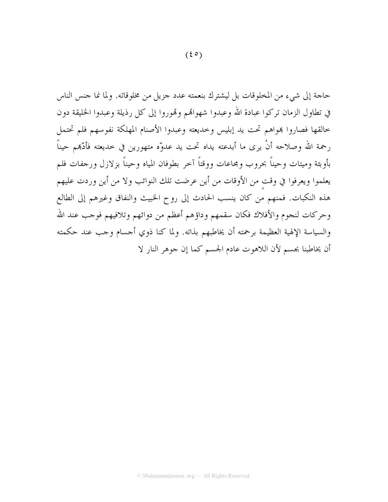حاجة إلى شيء من المخلوقات بل ليشترك بنعمته عدد جزيل من مخلوقاته. ولما نما جنس الناس في تطاول الزمان تركوا عبادة الله وعبدوا شهواتهم وتموروا إلى كل رذيلة وعبدوا الخليقة دون حالقها فصاروا بمواهم تحت يد إبليس وحديعته وعبدوا الأصنام المهلكة نفوسهم فلم تحتمل رحمة الله وصلاحه أنْ يرى ما أبدعته يداه تحت يد عدوّه متهورين في حديعته فأدّهم حيناً بأوبئة وميتات وحيناً بحروب ومجاعات ووقتاً آحر بطوفان المياه وحيناً بزلازل ورجفات فلم يعلموا ويعرفوا في وقت من الأوقات من أين عرضت تلك النوائب ولا من أين وردت عليهم هذه النكبات. فمنهم من كان ينسب الحادث إلى روح الخبيث والنفاق وغيرهم إلى الطالع وحركات لنجوم والأفلاك فكان سقمهم وداؤهم أعظم من دوائهم وتلافيهم فوجب عند الله والسياسة الإلهية العظيمة برحمته أن يخاطبهم بذاته. ولما كنا ذوي أحسام وحب عند حكمته أن يخاطبنا بجسم لأن اللاهوت عادم الجسم كما إن جوهر النار لا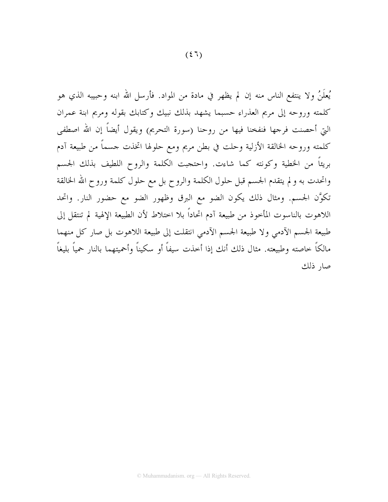يُعلَنُ ولا ينتفع الناس منه إن لم يظهر في مادة من المواد. فأرسل الله ابنه وحبيبه الذي هو كلمته وروحه إلى مريم العذراء حسبما يشهد بذلك نبيك وكتابك بقوله ومريم ابنة عمران التي أحصنت فرجها فنفخنا فيها من روحنا (سورة التحريم) ويقول أيضاً إن الله اصطفى كلمته وروحه الخالقة الأزلية وحلت في بطن مريم ومع حلولها اتخذت جسماً من طبيعة آدم بريئاً من الخطية وكونته كما شاءت. واحتجبت الكلمة والروح اللطيف بذلك الجسم واتحدت به و لم يتقدم الجسم قبل حلول الكلمة والروح بل مع حلول كلمة وروح الله الخالقة تكوَّن الجسم. ومثال ذلك يكون الضو مع البرق وظهور الضو مع حضور النار. واتحد اللاهوت بالناسوت المأخوذ من طبيعة آدم اتحاداً بلا اختلاط لأن الطبيعة الإلهية لم تنتقل إلى طبيعة الجسم الآدمي ولا طبيعة الجسم الآدمي انتقلت إلى طبيعة اللاهوت بل صار كل منهما مالكاً خاصته وطبيعته. مثال ذلك أنك إذا أحذت سيفاً أو سكيناً وأحميتهما بالنار حمياً بليغاً صار ذلك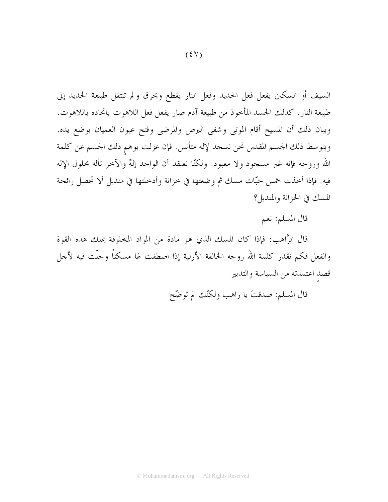السيف أو السكين يفعل فعل الحديد وفعل النار يقطع ويحرق ولم تنتقل طبيعة الحديد إلى طبيعة النار. كذلك الجسد المأخوذ من طبيعة آدم صار يفعل فعل اللاهوت باتحاده باللاهوت. وبيان ذلك أن المسيح أقام الموتى وشفى البرص والمرضى وفتح عيون العميان بوضع يده. وبتوسط ذلك الجسم المقدس نحن نسجد لإله متأنس. فإن عزلت بوهم ذلك الجسم عن كلمة الله وروحه فإنه غير مسجود ولا معبود. ولكنَّا نعتقد أن الواحد إلهٌ والآخر تأله بحلول الإله فيه. فإذا أخذت خمس حبّات مسك ثم وضعتها في خزانة وأدخلتها في منديل ألا تحصل رائحة المسك في الخزانة والمنديل؟

قال المسلم: نعم

قال الرَّاهب: فإذا كان المسك الذي هو مادة من المواد المخلوقة يملك هذه القوة والفعل فكم تقدر كلمة الله روحه الخالقة الأزلية إذا اصطفت لها مسكناً وحلَّت فيه لأجل قصد اعتمدته من السياسة والتدبير

قال المسلم: صدقتَ يا راهب ولكنّك لم توضّح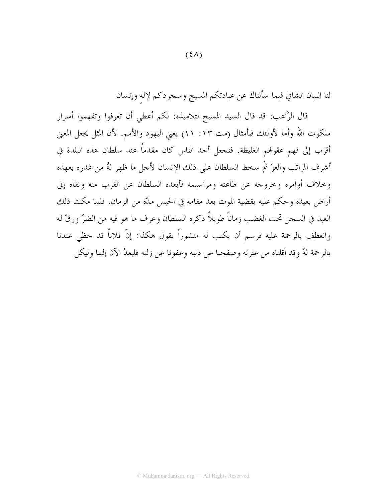لنا البيان الشافي فيما سألناك عن عبادتكم المسيح وسجودكم لإله وإنسان

قال الرَّاهب: قد قال السيد المسيح لتلاميذه: لكم أعطى أن تعرفوا وتفهموا أسرار ملكوت الله وأما لأولئك فبأمثال (مت ١٣: ١١) يعني اليهود والأمم. لأن المثل يجعل المعني أقرب إلى فهم عقولهم الغليظة. فنجعل أحد الناس كان مقدماً عند سلطان هذه البلدة في أشرف المراتب والعزّ ثمّ سخط السلطان على ذلك الإنسان لأجل ما ظهر لهُ من غدره بعهده وحلاف أوامره وحروجه عن طاعته ومراسيمه فأبعده السلطان عن القرب منه ونفاه إلى أراض بعيدة وحكم عليه بقضية الموت بعد مقامه في الحبس مدّة من الزمان. فلما مكث ذلك العبد في السجن تحت الغضب زماناً طويلاً ذكره السلطان وعرف ما هو فيه من الضرّ ورقّ له وانعطف بالرحمة عليه فرسم أن يكتب له منشوراً يقول هكذا: إنَّ فلاناً قد حظى عندنا بالرحمة لهُ وقد أقلناه من عثرته وصفحنا عن ذنبه وعفونا عن زلته فليعدْ الآن إلينا وليكن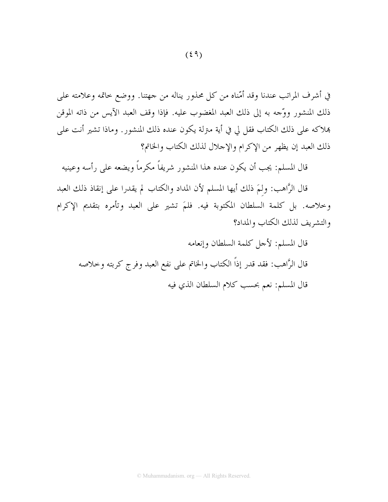في أشرف المراتب عندنا وقد أمّناه من كل محذور يناله من جهتنا. ووضع حاتمه وعلامته على ذلك المنشور ووَّجه به إلى ذلك العبد المغضوب عليه. فإذا وقف العبد الآيس من ذاته الموقن بِملاكه على ذلك الكتاب فقل لي في أية مترلة يكون عنده ذلك المنشور. وماذا تشير أنت على ذلك العبد إن يظهر من الإكرام والإحلال لذلك الكتاب والخاتم؟

قال المسلم: يجب أن يكون عنده هذا المنشور شريفاً مكرماً ويضعه على رأسه وعينيه

قال الرَّاهب: ولمَ ذلك أيها المسلم لأن المداد والكتاب لم يقدرا على إنقاذ ذلك العبد وخلاصه. بل كلمة السلطان المكتوبة فيه. فلمَ تشير على العبد وتأمره بتقديم الإكرام والتشريف لذلك الكتاب والمداد؟

قال المسلم: لأحل كلمة السلطان وإنعامه قال الرَّاهب: فقد قدر إذاً الكتاب والخاتم على نفع العبد وفرج كربته وخلاصه قال المسلم: نعم بحسب كلام السلطان الذي فيه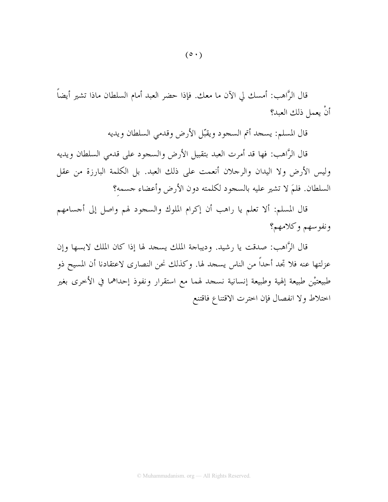قال الرَّاهب: أمسك لي الآن ما معك. فإذا حضر العبد أمام السلطان ماذا تشير أيضاً أنْ بعمل ذلك العبد؟

قال المسلم: يسجد أتم السجود ويقبّل الأرض وقدمي السلطان ويديه

قال الرَّاهب: فها قد أمرت العبد بتقبيل الأرض والسجود على قدمى السلطان ويديه وليس الأرض ولا اليدان والرحلان أنعمت على ذلك العبد. بل الكلمة البارزة من عقل السلطان. فلمَ لا تشير عليه بالسجود لكلمته دون الأرض وأعضاء جسمه؟

قال المسلم: ألا تعلم يا راهب أن إكرام الملوك والسجود لهم واصل إلى أحسامهم ونفوسهم وكلامهم؟

قال الرَّاهب: صدقت يا رشيد. وديباجة الملك يسجد لها إذا كان الملك لابسها وإن عزلتها عنه فلا تجد أحداً من الناس يسجد لها. وكذلك نحن النصاري لاعتقادنا أن المسيح ذو طبيعتيْن طبيعة إلهية وطبيعة إنسانية نسجد لهما مع استقرار ونفوذ إحداهما في الأخرى بغير اختلاط ولا انفصال فإن اخترت الاقتناع فاقتنع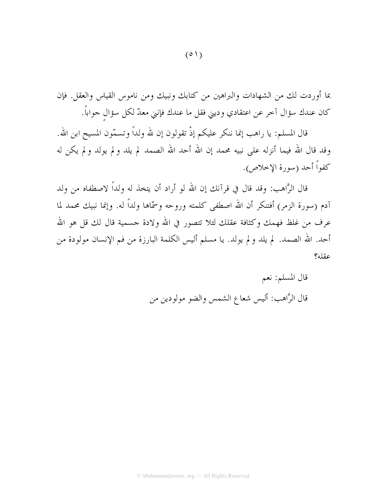بما أوردت لك من الشهادات والبراهين من كتابك ونبيك ومن ناموس القياس والعقل. فإن كان عندك سؤال آخر عن اعتقادي وديني فقل ما عندك فإنني معدّ لكل سؤال جواباً.

قال المسلم: يا راهب إنما ننكر عليكم إذْ تقولون إن لله ولداً وتسمَّون المسيح ابن الله. وقد قال الله فيما أنزله على نبيه محمد إن الله أحد الله الصمد لم يلد ولم يولد ولم يكن له كفواً أحد (سورة الإحلاص).

قال الرَّاهب: وقد قال في قرآنك إن الله لو أراد أن يتخذ له ولداً لاصطفاه من ولد آدم (سورة الزمر) أفتنكر أن الله اصطفى كلمته وروحه وسمَّاها ولدًّا له. وإنما نبيك محمد لما عرف من غلظ فهمك وكثافة عقلك لئلا تتصور في الله ولادة حسمية قال لك قل هو الله أحد. الله الصمد. لم يلد و لم يولد. يا مسلم أليس الكلمة البارزة من فم الإنسان مولودة من عقله؟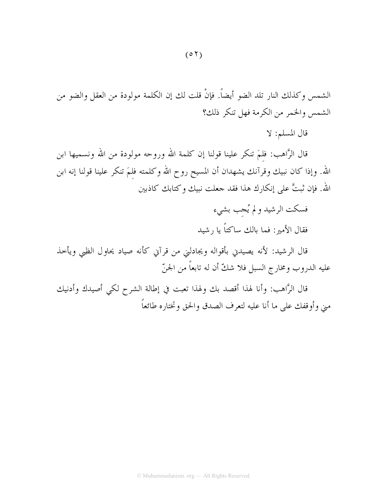الشمس وكذلك النار تلد الضو أيضاً. فإنْ قلت لك إن الكلمة مولودة من العقل والضو من الشمس والخمر من الكرمة فهل تنكر ذلك؟

قال المسلم: لا

قال الرَّاهب: فلمَ تنكر علينا قولنا إن كلمة الله وروحه مولودة من الله ونسميها ابن الله. وإذا كان نبيك وقرآنك يشهدان أن المسيح روح الله وكلمته فلمَ تنكر علينا قولنا إنه ابن الله. فإن ثبتَّ على إنكارك هذا فقد جعلت نبيك وكتابك كاذبين

> فسكت الرشيد و لم يُجب بشيء فقال الأمير : فما بالك ساكتاً يا , شيد

قال الرشيد: لأنه يصيدني بأقواله ويجادلني من قرآني كأنه صياد يحاول الظبي ويأحذ عليه الدروب ومخارج السبل فلا شكّ أن له تابعاً من الجنّ

قال الرَّاهب: وأنا لهذا أقصد بك ولهذا تعبت في إطالة الشرح لكي أصيدك وأدنيك مني وأوقفك على ما أنا عليه لتعرف الصدق والحق وتختاره طائعاً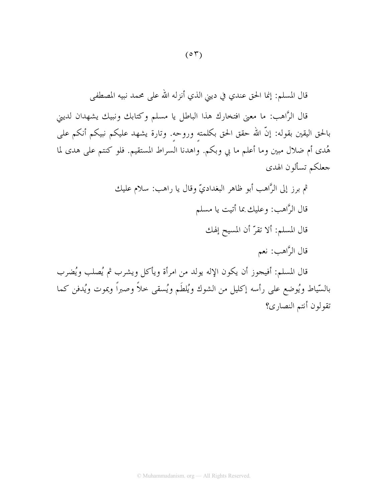قال المسلم: إنما الحق عندي في ديني الذي أنزله الله على محمد نبيه المصطفى

قال الرَّاهب: ما معنى افتخارك هذا الباطل يا مسلم وكتابك ونبيك يشهدان لديني بالحق اليقين بقوله: إنَّ الله حقق الحق بكلمته وروحه. وتارة يشهد عليكم نبيكم أنكم على هُدى أم ضلال مبين وما أعلم ما بي وبكم. واهدنا السراط المستقيم. فلو كنتم على هدى لما جعلكم تسألون الهدى

> ثم برز إلى الرَّاهب أبو ظاهر البغداديّ وقال يا راهب: سلام عليك قال الرَّاهب: وعليك بما أتيت يا مسلم قال المسلم: ألا تقرّ أن المسيح إلهك قال الرَّاهب: نعم

قال المسلم: أفيجوز أن يكون الإله يولد من امرأة ويأكل ويشرب ثم يُصلب ويُضرب بالسّياط ويُوضع على رأسه إكليل من الشوك ويُلطَم ويُسقى خلاً وصبراً ويموت ويُدفن كما تقولون أنتم النصاري؟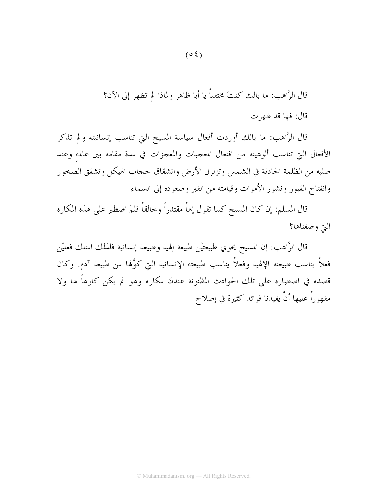قال الرَّاهب: ما بالك كنتَ مختفياً يا أبا ظاهر ولماذا لم تظهر إلى الآن؟ قال: فها قد ظهر ت

قال الرَّاهب: ما بالك أوردت أفعال سياسة المسيح التي تناسب إنسانيته ولم تذكر الأفعال التي تناسب ألوهيته من افتعال المعجبات والمعجزات في مدة مقامه بين عالمه وعند صلبه من الظلمة الحادثة في الشمس وتزلزل الأرض وانشقاق حجاب الهيكل وتشقق الصخور وانفتاح القبور ونشور الأموات وقيامته من القبر وصعوده إلى السماء

قال المسلم: إن كان المسيح كما تقول إلهاً مقتدراً وخالقاً فلمَ اصطبر على هذه المكاره التي وصفناها؟

قال الرَّاهب: إن المسيح يحوي طبيعتيْن طبيعة إلهية وطبيعة إنسانية فلذلك امتلك فعليْن فعلاً يناسب طبيعته الإلهية وفعلاً يناسب طبيعته الإنسانية التي كوَّفما من طبيعة آدم. وكان قصده في اصطباره على تلك الحوادث المظنونة عندك مكاره وهو لم يكن كارهاً لها ولا مقهوراً عليها أنْ يفيدنا فوائد كثيرة في إصلاح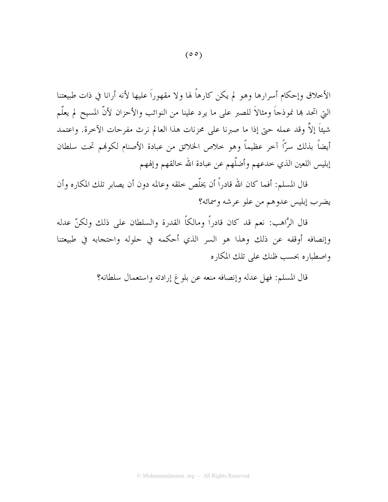الأخلاق وإحكام أسرارها وهو لم يكن كارهاً لها ولا مقهوراً عليها لأنه أرانا في ذات طبيعتنا التي اتحد ها نموذجاً ومثالاً للصبر على ما يرد علينا من النوائب والأحزان لأنّ المسيح لم يعلّم شيئاً إلاَّ وقد عمله حيٍّ إذا ما صبرنا على محزنات هذا العالم نرث مفرحات الآخرة. واعتمد أيضاً بذلك سرّاً آخر عظيماً وهو حلاص الخلائق من عبادة الأصنام لكوفمم تحت سلطان إبليس اللعين الذي حدعهم وأضلّهم عن عبادة الله حالقهم وإلههم

قال المسلم: أفما كان الله قادراً أن يخلَّص خلقه وعالمه دون أن يصابر تلك المكاره وأن يضرب إبليس عدوهم من علو عرشه وسمائه؟

قال الرَّاهب: نعم قد كان قادراً ومالكاً القدرة والسلطان على ذلك ولكنِّ عدله وإنصافه أوقفه عن ذلك وهذا هو السر الذي أحكمه في حلوله واحتجابه في طبيعتنا واصطباره بحسب ظنك على تلك المكاره

قال المسلم: فهل عدله وإنصافه منعه عن بلوغ إرادته واستعمال سلطانه؟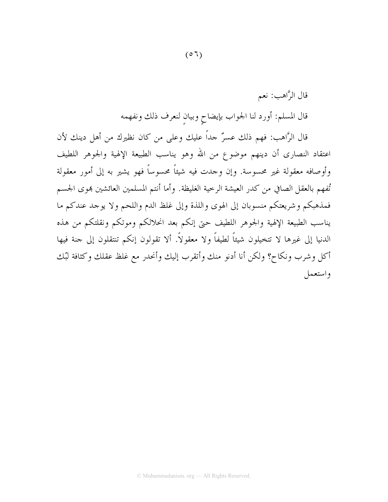قال الرَّاهب: نعم قال المسلم: أورد لنا الجواب بإيضاحٍ وبيانٍ لنعرف ذلك ونفهمه

قال الرَّاهب: فهم ذلك عسرٌ جداً عليك وعلى من كان نظيرك من أهل دينك لأن اعتقاد النصارى أن دينهم موضوع من الله وهو يناسب الطبيعة الإلهية والجوهر اللطيف وأوصافه معقولة غير محسوسة. وإن وحدت فيه شيئاً محسوساً فهو يشير به إلى أمور معقولة تُفهم بالعقل الصافي من كدر العيشة الرخية الغليظة. وأما أنتم المسلمين العائشين بموى الجسم فمذهبكم وشريعتكم منسوبان إلى الهوى واللذة وإلى غلظ الدم واللحم ولا يوحد عندكم ما يناسب الطبيعة الإلهية والجوهر اللطيف حتى إنكم بعد انحلالكم وموتكم ونقلتكم من هذه الدنيا إلى غيرها لا تتخيلون شيئاً لطيفاً ولا معقولاً. ألا تقولون إنكم تنتقلون إلى حنة فيها أكل وشرب ونكاح؟ ولكن أنا أدنو منك وأتقرب إليك وأنحدر مع غلظ عقلك وكثافة لبّلك واستعمل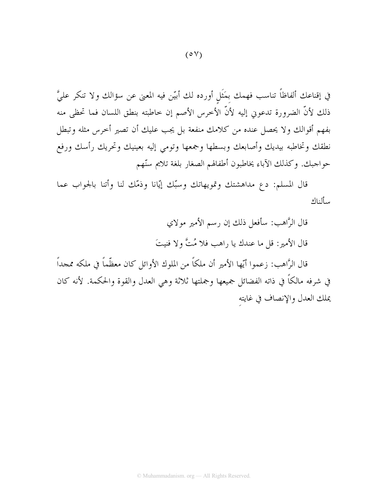في إقناعك ألفاظاً تناسب فهمك بمَثَل أورده لك أبيّن فيه المعنى عن سؤالك ولا تنكر عليَّ ذلك لأنَّ الضرورة تدعوني إليه لأنَّ الأخرس الأصم إن حاطبته بنطق اللسان فما تحظى منه بفهم أقوالك ولا يحصل عنده من كلامك منفعة بل يجب عليك أن تصير أخرس مثله وتبطل نطقك وتخاطبه بيديك وأصابعك وبسطها وجمعها وتومى إليه بعينيك وتحريك رأسك ورفع حواجبك. وكذلك الآباء يخاطبون أطفالهم الصغار بلغة تلايم سنَّهم

قال المسلم: دع مداهشتك وتمويهاتك وسبّك إيّانا وذمّك لنا وأتنا بالجواب عما سألناك

> قال الرَّاهب: سأفعل ذلك إن , سم الأمير مولاي قال الأمير: قلَّ ما عندك يا راهب فلا مُتَّ ولا فنيتَ

قال الرَّاهب: زعموا ٱيّها الأمير أن ملكاً من الملوك الأوائل كان معظّماً في ملكه ممجداً في شرفه مالكًا في ذاته الفضائل جميعها وجملتها ثلاثة وهي العدل والقوة والحكمة. لأنه كان يملك العدل والإنصاف في غايته

© Muhammadanism. org - All Rights Reserved.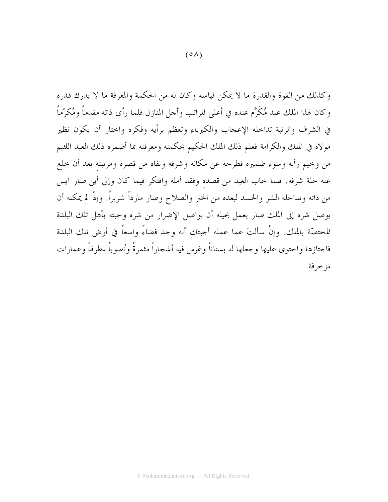وكذلك من القوة والقدرة ما لا يمكن قياسه وكان له من الحكمة والمعرفة ما لا يدرك قدره وكان لهذا الملك عبد مُكَرَّم عنده في أعلى المراتب وأجل المنازل فلما رأى ذاته مقدماً ومُكرَّماً في الشرف والرتبة تداحله الإعجاب والكبرياء وتعظم برأيه وفكره واحتار أن يكون نظير مولاه في الملك والكرامة فعلم ذلك الملك الحكيم بحكمته ومعرفته بما أضمره ذلك العبد اللئيم من وخيم رأيه وسوء ضميره فطرحه عن مكانه وشرفه ونفاه من قصره ومرتبته بعد أن حلع عنه حلة شرفه. فلما حاب العبد من قصده وفقد أمله وافتكر فيما كان وإلى أين صار آيس من ذاته وتداخله الشر والحسد لبعده من الخير والصلاح وصار مارداً شريراً. وإذْ لم يمكنه أن يوصل شره إلى الملك صار يعمل بحيله أن يواصل الإضرار من شره وحبثه بأهل تلك البلدة المختصَّة بالملك. وإنْ سألتَ عما عمله أجبتك أنه وجد فضاءً واسعاً في أرض تلك البلدة فاجتازها واحتوى عليها وجعلها له بستاناً وغرس فيه أشجاراً مثمرةً ونُصوباً مطرفةً وعمارات مز خرفة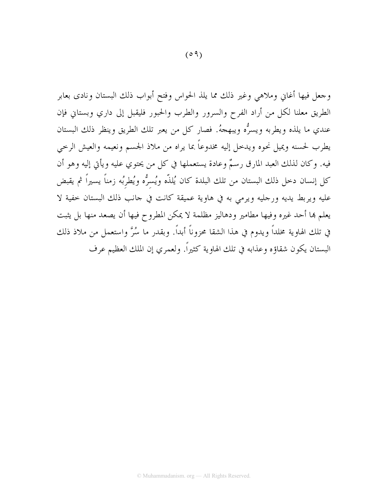وحعل فيها أغاني وملاهي وغير ذلك مما يلذ الحواس وفتح أبواب ذلك البستان ونادى بعابر الطريق معلنا لكل من أراد الفرح والسرور والطرب والحبور فليقبل إلى داري وبستاني فإن عندي ما يلذه ويطربه ويسرُّه ويبهجهُ. فصار كل من يعبر تلك الطريق وينظر ذلك البستان يطرب لحسنه ويميل نحوه ويدحل إليه مخدوعاً بما يراه من ملاذ الجسم ونعيمه والعيش الرحي فيه. وكان لذلك العبد المارق رسمٌ وعادة يستعملها في كلِّ من يحتوي عليه ويأتي إليه وهو أن كل إنسان دخل ذلك البستان من تلك البلدة كان يُلذُّه ويُسرُّه ويُطربُه زمناً يسيراً ثم يقبض عليه ويربط يديه ورحليه ويرمي به في هاوية عميقة كانت في حانب ذلك البستان حفية لا يعلم ها أحد غيره وفيها مطامير ودهاليز مظلمة لا يمكن المطروح فيها أن يصعد منها بل يثبت في تلك الهاوية مخلداً ويدوم في هذا الشقا محزوناً أبداً. وبقدر ما سُرَّ واستعمل من ملاذ ذلك البستان يكون شقاؤه وعذابه في تلك الهاوية كثيراً. ولعمري إن الملك العظيم عرف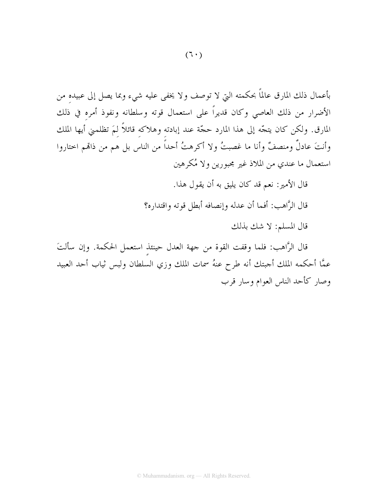بأعمال ذلك المارق عالمًا بحكمته التي لا توصف ولا يخفى عليه شيء وبما يصل إلى عبيده من الأضرار من ذلك العاصي وكان قديراً على استعمال قوته وسلطانه ونفوذ أمره في ذلك المارق. ولكن كان يتجَّه إلى هذا المارد حجَّة عند إبادته وهلاكه قائلاً لمَ تظلمني أيها الملك وأنتَ عادلٌ ومنصفٌ وأنا ما غصبتُ ولا أكرهتُ أحداً من الناس بل هم من ذاهم اختاروا استعمال ما عندي من الملاذ غير مجبورين ولا مُكرهين

> قال الأمير : نعم قد كان يليق به أن يقول هذا. قال الرَّاهب: أفما أن عدله وإنصافه أبطل قوته واقتداره؟ قال المسلم: لا شك بذلك

قال الرَّاهب: فلما وقفت القوة من جهة العدل حينئذ استعمل الحكمة. وإن سألتَ عمًّا أحكمه الملك أجبتك أنه طرح عنهُ سمات الملك وزي السلطان ولبس ثياب أحد العبيد وصار كأحد الناس العوام وسار قرب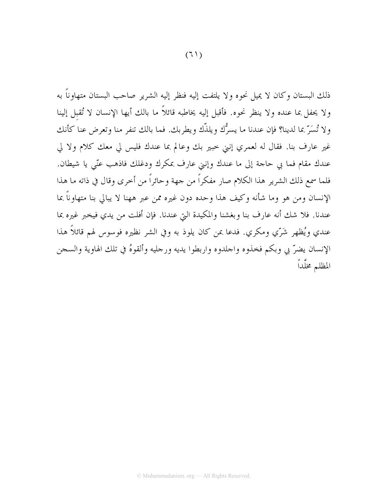ذلك البستان وكان لا يميل نحوه ولا يلتفت إليه فنظر إليه الشرير صاحب البستان متهاوناً به ولا يحفل بما عنده ولا ينظر نحوه. فأقبل إليه يخاطبه قائلاً ما بالك أيها الإنسان لا تُقبل إلينا ولا تُسَرَّ بما لدينا؟ فإن عندنا ما يسرُّك ويلذَّك ويطربك. فما بالك تنفر منا وتعرض عنا كأنك غير عارف بنا. فقال له لعمري إنني حبير بك وعالم بما عندك فليس لي معك كلام ولا لي عندك مقام فما بي حاجة إلى ما عندك وإنني عارف بمكرك ودغلك فاذهب عنّى يا شيطان. فلما سمع ذلك الشرير هذا الكلام صار مفكراً من جهة وحائراً من أخرى وقال في ذاته ما هذا الإنسان ومن هو وما شأنه وكيف هذا وحده دون غيره ممن عبر ههنا لا يبالي بنا متهاوناً بما عندنا. فلا شك أنه عارف بنا وبغشنا والمكيدة التي عندنا. فإن أفلت من يدي فيخبر غيره بما عندي ويُظهر شَرِّي ومكري. فدعا بمن كان يلوذ به وفي الشر نظيره فوسوس لهم قائلاً هذا الإنسان يضرّ بي وبكم فخذوه واجلدوه واربطوا يديه ورجليه وألقوهُ في تلك الهاوية والسجن المظلم مخلَّداً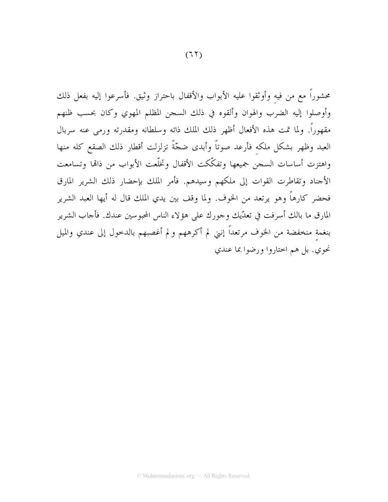محشوراً مع من فيه وأوثقوا عليه الأبواب والأقفال باحتراز وثيق. فأسرعوا إليه بفعل ذلك وأوصلوا إليه الضرب والهوان وألقوه في ذلك السجن المظلم المهوي وكان بحسب ظنهم مقهوراً. ولما تمت هذه الأفعال أظهر ذلك الملك ذاته وسلطانه ومقدرته ورمى عنه سربال العبد وظهر بشكل ملكه فأرعد صوتاً وأبدى ضجّةً تزلزلت أقطار ذلك الصقع كله منها واهتزت أساسات السجن جميعها وتفكّكت الأقفال وتخلّعت الأبواب من ذاتما وتسامعت الأجناد وتقاطرت القوات إلى ملكهم وسيدهم. فأمر الملك بإحضار ذلك الشرير المارق فحضر كارهاً وهو يرتعد من الخوف. ولما وقف بين يدي الملك قال له أيها العبد الشرير المارق ما بالك أسرفت في تعدّيك وجورك على هؤلاء الناس المحبوسين عندك. فأجاب الشرير بنغمة منخفضة من الخوف مرتعداً إنني لم أكرههم ولم أغصبهم بالدحول إلى عندي والميل نحوي. بل هم اختاروا ورضوا بما عندي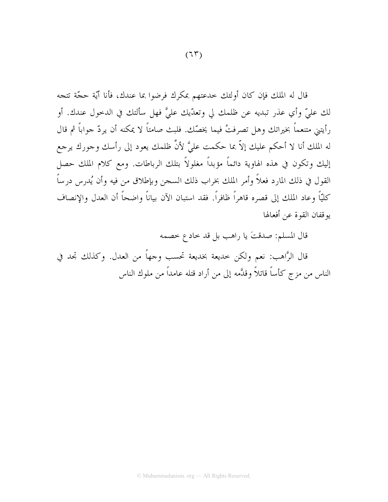قال له الملك فإن كان أولئك خدعتهم بمكرك فرضوا بما عندك، فأنا أيّة حجّة تتجه لك عليِّ وأي عذر تبديه عن ظلمك لي وتعدّيك عليَّ فهل سألتك في الدخول عندك. أو رأيتني متنعماً بخيراتك وهل تصرفتُ فيما يخصِّك. فلبث صامتاً لا يمكنه أن يردّ جواباً ثم قال له الملك أنا لا أحكم عليك إلاَّ بما حكمت عليَّ لأنَّ ظلمك يعود إلى رأسك وجورك يرجع إليك وتكون في هذه الهاوية دائماً مؤبداً مغلولاً بتلك الرباطات. ومع كلام الملك حصل القول في ذلك المارد فعلاً وأمر الملك بخراب ذلك السجن وبإطلاق من فيه وأن يُدرس درساً كليّاً وعاد الملك إلى قصره قاهراً ظافراً. فقد استبان الآن بياناً واضحاً أن العدل والإنصاف يوقفان القوة عن أفعالها

قال المسلم: صدقتَ يا راهب بل قد خادع خصمه

قال الرَّاهب: نعم ولكن حديعة بخديعة تحسب وجهاً من العدل. وكذلك تحد في الناس من مز ج كأساً قاتلاً وقدَّمه إلى من أراد قتله عامداً من ملوك الناس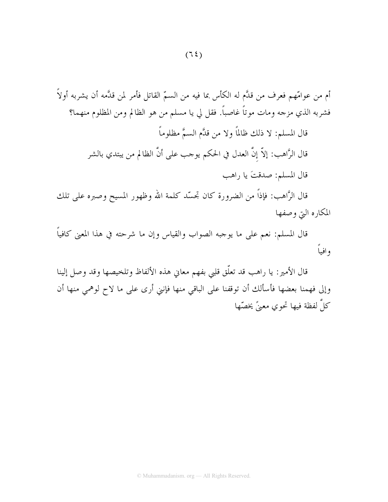قال المسلم: لا ذلك ظالمًا ولا من قدَّم السمَّ مظلوماً قال الرَّاهب: إلاَّ إنَّ العدل في الحكم يوجب على أنَّ الظالم من يبتدي بالشر قال المسلم: صدقتَ يا راهب

قال الرَّاهب: فإذاً من الضرورة كان تجسَّد كلمة الله وظهور المسيح وصبره على تلك المكاره التي وصفها

قال المسلم: نعم على ما يوجبه الصواب والقياس وإن ما شرحته في هذا المعنى كافياً و افياً

قال الأمير: يا راهب قد تعلُّق قلبي بفهم معاني هذه الألفاظ وتلخيصها وقد وصل إلينا وإلى فهمنا بعضها فأسألك أن توقفنا على الباقي منها فإنني أرى على ما لاح لوهمي منها أن كلَّ لفظة فيها تحوى معينَ يخصُّها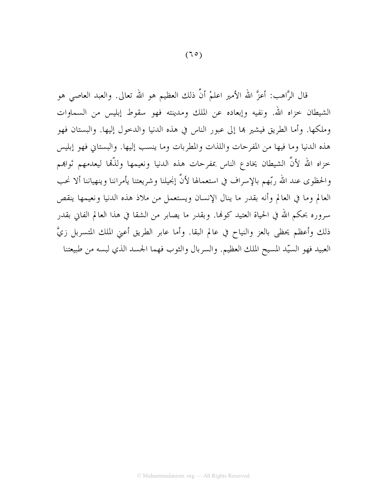قال الرَّاهب: أعزَّ الله الأمير اعلمْ أنَّ ذلك العظيم هو الله تعالى. والعبد العاصي هو الشيطان حزاه الله. ونفيه وإبعاده عن الملك ومدينته فهو سقوط إبليس من السماوات وملكها. وأما الطريق فيشير ها إلى عبور الناس في هذه الدنيا والدخول إليها. والبستان فهو هذه الدنيا وما فيها من المفرحات واللذات والمطربات وما ينسب إليها. والبستاني فهو إبليس حزاه الله لأنَّ الشيطان يخادع الناس بمفرحات هذه الدنيا ونعيمها ولذَّقا ليعدمهم ثواهم والحظوى عند الله ربَّهم بالإسراف في استعمالها لأنَّ إنجيلنا وشريعتنا يأمراننا وينهياننا ألا نحب العالم وما في العالم وأنه بقدر ما ينال الإنسان ويستعمل من ملاذ هذه الدنيا ونعيمها ينقص سروره بحكم الله في الحياة العتيد كونما. وبقدر ما يصابر من الشقا في هذا العالم الفاني بقدر ذلك وأعظم يحظى بالعز والنياح في عالم البقا. وأما عابر الطريق أعنى الملك المتسربل زيَّ العبيد فهو السيّد المسيح الملك العظيم. والسربال والثوب فهما الجسد الذي لبسه من طبيعتنا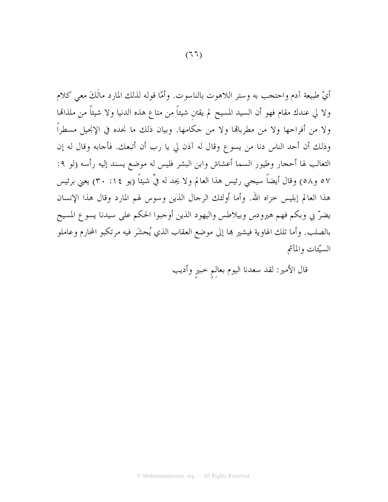أيْ طبيعة آدم واحتجب به وستر اللاهوت بالناسوت. وأمَّا قوله لذلك المارد مالَكَ معي كلام ولا لي عندك مقام فهو أن السيد المسيح لم يقتن شيئاً من متاع هذه الدنيا ولا شيئاً من ملذاهَا ولا من أفراحها ولا من مطربالها ولا من حكامها. وبيان ذلك ما نجده في الإنجيل مسطراً وذلك أن أحد الناس دنا من يسوع وقال له آذن لي يا رب أن أتبعك. فأجابه وقال له إن الثعالب لها أحجار وطيور السما أعشاش وابن البشر فليس له موضع يسند إليه رأسه (لو ٩: ٥٧ و٥٨) وقال أيضاً سيجي رئيس هذا العالم ولا يجد له فيَّ شيئاً (يو ١٤: ٣٠) يعني برئيس هذا العالم إبليس خزاه الله. وأما أولئك الرحال الذين وسوس لهم المارد وقال هذا الإنسان يضرّ بي وبكم فهم هيرودس وبيلاطس واليهود الذين أوجبوا الحكم على سيدنا يسوع المسيح بالصلب. وأما تلك الهاوية فيشير ها إلى موضع العقاب الذي يُحشَر فيه مرتكبو المحارم وعاملو السيِّئات والمآثم

قال الأمير: لقد سعدنا اليوم بعالم حبيرٍ وأديب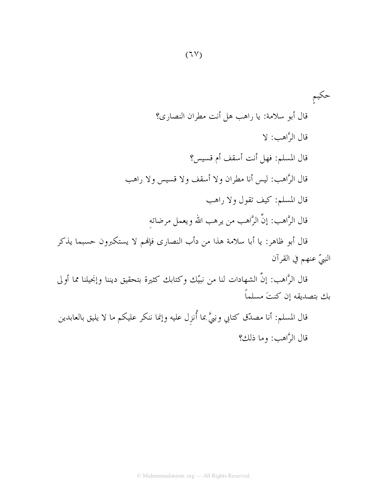قال أبو ظاهر: يا أبا سلامة هذا من دأب النصارى فإلهم لا يستكبرون حسبما يذكر النبيّ عنهم في القرآن

قال الرَّاهب: إنَّ الشهادات لنا من نبيِّك وكتابك كثيرة بتحقيق ديننا وإنجيلنا مما أولى بك بتصديقه إن كنتَ مسلماً

قال المسلم: أنا مصدّق كتابي ونبيَّ بما أُنزِل عليه وإنما ننكر عليكم ما لا يليق بالعابدين قال الرَّاهب: وما ذلك؟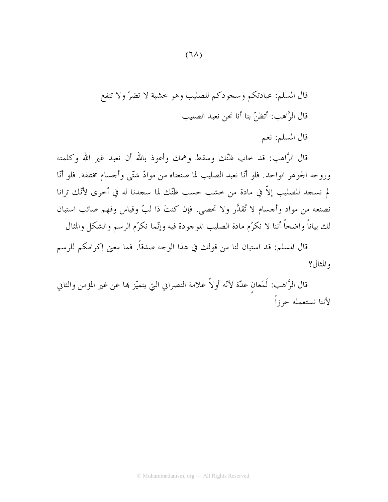قال الرَّاهب: قد حاب ظنَّك وسقط وهمك وأعوذ بالله أن نعبد غير الله وكلمته وروحه الجوهر الواحد. فلو أنَّا نعبد الصليب لما صنعناه من موادٍّ شتَّى وأجسام مختلفة. فلو أنَّا لم نسجد للصليب إلاَّ في مادة من خشب حسب ظنَّك لما سجدنا له في أخرى لأنَّك ترانا نصنعه من مواد وأحسام لا تُقدَّر ولا تحصى. فإن كنتَ ذا لبَّ وقياس وفهم صائب استبان لك بياناً واضحاً أننا لا نكرّم مادة الصليب الموجودة فيه وإنّما نكرّم الرسم والشكل والمثال

قال المسلم: قد استبان لنا من قولك في هذا الوحه صدقاً. فما معنى إكرامكم للرسم والمثال؟

قال الرَّاهب: لَمَعان عدّة لأنّه أولاً علامة النصراني التي يتميّز هما عن غير المؤمن والثاني لأننا نستعمله حرزاً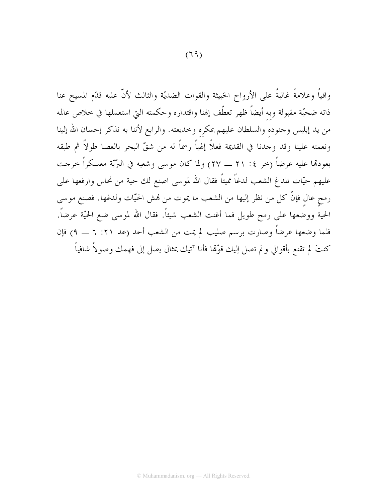واقياً وعلامةً غالبةً على الأرواح الخبيثة والقوات الضديّة والثالث لأنّ عليه قدّم المسيح عنا ذاته ضحيّة مقبولة وبه أيضاً ظهر تعطّف إلهنا واقتداره وحكمته التي استعملها في حلاص عالمه من يد إبليس وحنوده والسلطان عليهم بمكره وحديعته. والرابع لأننا به نذكر إحسان الله إلينا ونعمته علينا وقد وجدنا في القديمة فعلاً إلهياً رسماً له من شقِّ البحر بالعصا طولاً ثم طبقه بعودها عليه عرضاً (حر ٤: ٢١ ـــ ٢٧) ولما كان موسى وشعبه في البرِّيّة معسكراً حرجت عليهم حيّات تلدغ الشعب لدغاً مميتاً فقال الله لموسى اصنع لك حية من نحاس وارفعها على رمح عال فإنَّ كلَّ من نظر إليها من الشعب ما يموت من لهش الحيَّات ولدغها. فصنع موسى الحية ووضعها على رمح طويل فما أغنت الشعب شيئاً. فقال الله لموسى ضع الحيّة عرضاً. فلما وضعها عرضاً وصارت برسم صليب لم يمت من الشعب أحد (عد ٢١: ٦ ـــ ٩) فإن كنتَ لم تقنع بأقوالي و لم تصل إليك قوِّقا فأنا آتيك بمثال يصل إلى فهمك وصولاً شافياً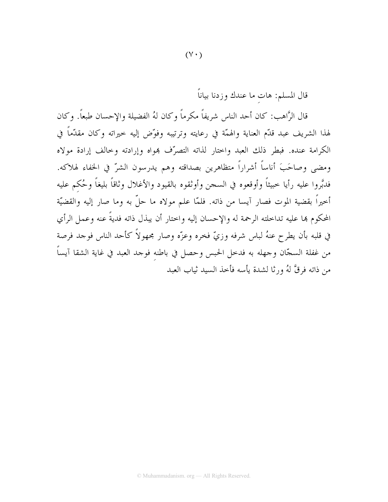قال المسلم: هات ما عندك وزدنا بياناً

قال الرَّاهب: كان أحد الناس شريفاً مكرماً وكان لهُ الفضيلة والإحسان طبعاً. وكان لهذا الشريف عبد قدّم العناية والهمّة في رعايته وترتيبه وفوّض إليه حيراته وكان مقدّماً في الكرامة عنده. فبطر ذلك العبد واحتار لذاته التصرّف بمواه وإرادته وحالف إرادة مولاه ومضى وصاحَبَ أناساً أشراراً متظاهرين بصداقته وهم يدرسون الشرّ في الخفاء لهلاكه. فدبَّروا عليه رأيا حبيثاً وأوقعوه في السجن وأوثقوه بالقيود والأغلال وثاقاً بليغاً وحُكم عليه أخيراً بقضية الموت فصار آيسا من ذاته. فلمّا علم مولاه ما حلّ به وما صار إليه والقضيّة المحكوم هما عليه تداخلته الرحمة له والإحسان إليه واختار أن يبذل ذاته فديةً عنه وعمل الرأي في قلبه بأن يطرح عنهُ لباس شرفه وزيٍّ فخره وعزَّه وصار بمحهولاً كأحد الناس فوجد فرصة من غفلة السجّان وحهله به فدخل الحبس وحصل في باطنه فوحد العبد في غاية الشقا آيساً من ذاته فرقَّ لهُ ورثًا لشدة يأسه فأحذ السيد ثياب العبد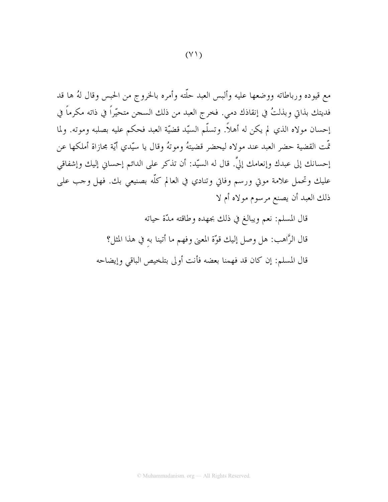مع قيوده ورباطاته ووضعها عليه وألبس العبد حلَّته وأمره بالخروج من الحبس وقال لهُ ها قد فديتك بذاتي وبذلتُ في إنقاذك دمي. فخرج العبد من ذلك السجن متحيّراً في ذاته مكرماً في إحسان مولاه الذي لم يكن له أهلاً. وتسلَّم السيِّد قضيَّة العبد فحكم عليه بصلبه وموته. ولما تَّمت القضية حضر العبد عند مولاه ليحضر قضيتهُ وموتهُ وقال يا سيّدي أيّة مجازاة أملكها عن إحسانك إلى عبدك وإنعامك إليَّ. قال له السيّد: أن تذكر على الدائم إحساني إليك وإشفاقي عليك وتحمل علامة موتي ورسم وفاتي وتنادي في العالم كلَّه بصنيعي بك. فهل وجب علي ذلك العبد أن يصنع مرسوم مولاه أم لا

> قال المسلم: نعم ويبالغ في ذلك بجهده وطاقته مدّة حياته قال الرَّاهب: هل وصل إليك قوَّة المعنى وفهم ما أتينا به في هذا المثل؟ قال المسلم: إن كان قد فهمنا بعضه فأنت أولى بتلخيص الباقي وإيضاحه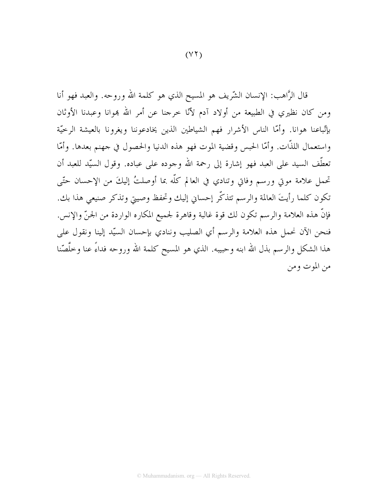قال الرَّاهب: الإنسان الشَّريف هو المسيح الذي هو كلمة الله وروحه. والعبد فهو أنا ومن كان نظيري في الطبيعة من أولاد آدم لأنّا حرجنا عن أمر الله بموانا وعبدنا الأوثان بإتّباعنا هوانا. وأمّا الناس الأشرار فهم الشياطين الذين يخادعوننا ويغرونا بالعيشة الرحيّة واستعمال اللذَّات. وأمَّا الحبس وقضية الموت فهو هذه الدنيا والحصول في جهنم بعدها. وأمَّا تعطَّف السيد على العبد فهو إشارة إلى رحمة الله وجوده على عباده. وقول السيِّد للعبد أن تحمل علامة موتي ورسم وفاتي وتنادي في العالم كلَّه بما أوصلتُ إليكَ من الإحسان حتَّى تكون كلما رأيتَ العالمة والرسم تتذكَّر إحساني إليك وتحفظ وصيتي وتذكر صنيعي هذا بك. فإنَّ هذه العلامة والرسم تكون لك قوة غالبة وقاهرة لجميع المكاره الواردة من الجنَّ والإنس. فنحن الآن نحمل هذه العلامة والرسم أي الصليب وننادي بإحسان السيّد إلينا ونقول على هذا الشكل والرسم بذل الله ابنه وحبيبه. الذي هو المسيح كلمة الله وروحه فداءً عنا وخلَّصِّنا من الموت ومن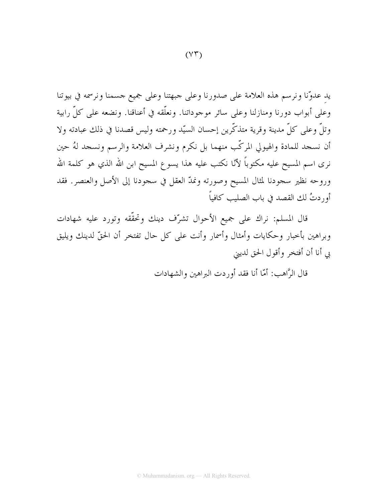يد عدوّنا ونرسم هذه العلامة على صدورنا وعلى جبهتنا وعلى جميع حسمنا ونرسمه في بيوتنا وعلى أبواب دورنا ومنازلنا وعلى سائر موجوداتنا. ونعلَّقه في أعناقنا. ونضعه على كلِّ رابية وتلَّ وعلى كلِّ مدينة وقرية متذكَّرين إحسان السيِّد ورحمته وليس قصدنا في ذلك عبادته ولا أن نسجد للمادة والهيولي المركّب منهما بل نكرم ونشرف العلامة والرسم ونسجد لهُ حين نرى اسم المسيح عليه مكتوباً لأنّا نكتب عليه هذا يسوع المسيح ابن الله الذي هو كلمة الله وروحه نظير سجودنا لمثال المسيح وصورته ونمدّ العقل في سجودنا إلى الأصل والعنصر. فقد أوردتُ لك القصد في باب الصليب كافياً

قال المسلم: نراك على جميع الأحوال تشرّف دينك وتحقّقه وتورد عليه شهادات وبراهين بأحبار وحكايات وأمثال وأسمار وأنت على كل حال تفتخر أن الحقّ لدينك ويليق بي أنا أن أفتخر وأقول الحق لديين

قال الرَّاهب: أمَّا أنا فقد أو دت البراهين والشهادات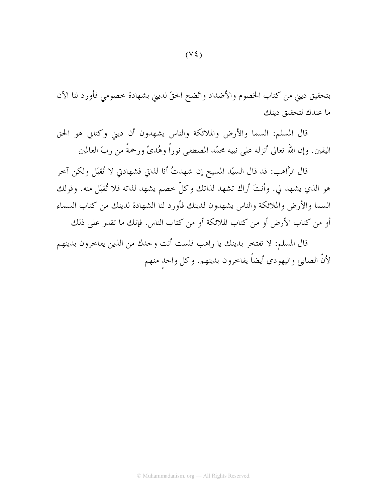بتحقيق ديني من كتاب الخصوم والأضداد واتّضح الحقّ لديني بشهادة خصومي فأورد لنا الآن ما عندك لتحقيق دبنك

قال المسلم: السما والأرض والملائكة والناس يشهدون أن ديني وكتابي هو الحق اليقين. وإن الله تعالى أنزله على نبيه محمَّد المصطفى نوراً وهُدىً ورحمةً من ربِّ العالمين

قال الرَّاهب: قد قال السيّد المسيح إن شهدتُ أنا لذاتي فشهادتي لا تُقبَل ولكن آخر هو الذي يشهد لي. وأنتَ أراك تشهد لذاتك وكلِّ خصم يشهد لذاته فلا تُقبَل منه. وقولك السما والأرض والملائكة والناس يشهدون لدينك فأورد لنا الشهادة لدينك من كتاب السماء أو من كتاب الأرض أو من كتاب الملائكة أو من كتاب الناس. فإنك ما تقدر على ذلك

قال المسلم: لا تفتخر بدينك يا راهب فلست أنت وحدك من الذين يفاخرون بدينهم لأنَّ الصابئ واليهودي أيضاً يفاخرون بدينهم. وكل واحد منهم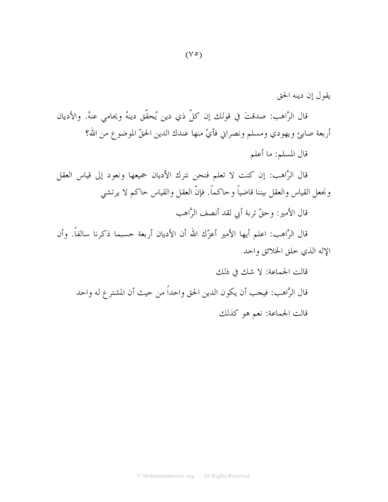يقول إن دينه الحق قال الرَّاهب: صدقتَ في قولك إن كلِّ ذي دين يُحقّق دينهُ ويحامي عنهُ. والأديان أربعة صابئ ويهودي ومسلم ونصراني فأيّ منها عندك الدين الحقّ الموضوع من الله؟ قال المسلم: ما أعلم قال الرَّاهب: إن كنت لا تعلم فنحن نترك الأديان جميعها ونعود إلى قياس العقل ونجعل القياس والعقل بيننا قاضياً وحاكماً. فإنَّ العقل والقياس حاكم لا يرتشي قال الأمير: وحقَّ تربة أبي لقد أنصف الرَّاهب قال الرَّاهب: اعلم أيها الأمير أعزَّك الله أن الأديان أربعة حسبما ذكرنا سالفاً. وأن الاله الذي حلق الخلائق واحد

قالت الجماعة: لا شك في ذلك قال الرَّاهب: فيجب أن يكون الدين الحق واحداً من حيث أن المشتر ع له واحد قالت الجماعة: نعم هو كذلك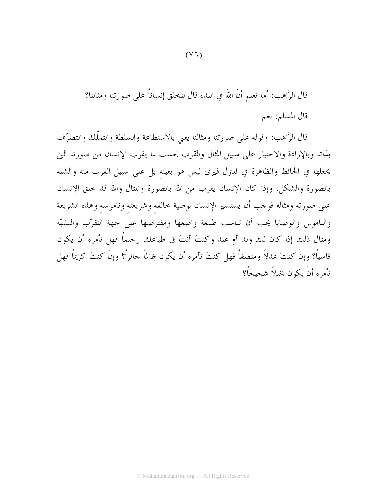قال الرَّاهب: أما تعلم أنَّ الله في البدء قال لنخلق إنساناً على صورتنا ومثالنا؟ قال المسلم: نعم

قال الرَّاهب: وقوله على صورتنا ومثالنا يعني بالاستطاعة والسلطة والتملُّك والتصرُّف بذاته وبالإرادة والاختيار على سبيل المثال والقرب بحسب ما يقرب الإنسان من صورته التي يجعلها في الحائط والظاهرة في المتزل فيرى ليس هو بعينه بل على سبيل القرب منه والشبه بالصورة والشكل. وإذا كان الإنسان يقرب من الله بالصورة والمثال والله قد حلق الإنسان على صورته ومثاله فوحب أن يستسير الإنسان بوصية خالقه وشريعته وناموسه وهذه الشريعة والناموس والوصايا يجب أن تناسب طبيعة واضعها ومفترضها على جهة التقرَّب والتشبُّه ومثال ذلك إذا كان لك ولد أم عبد وكنتَ أنتَ في طباعك رحيماً فهل تأمره أن يكون قاسياً؟ وإنْ كنتَ عدلاً ومنصفاً فهل كنتَ تأمره أن يكون ظالماً جائراً؟ وإنْ كنتَ كريماً فهل تأمره أنْ يكون بخيلاً شحيحاً؟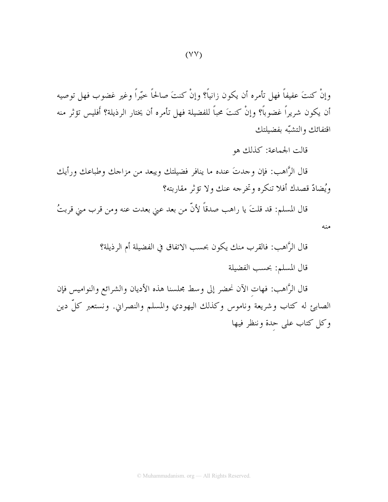وإنْ كنتَ عفيفاً فهل تأمره أن يكون زانياً؟ وإنْ كنتَ صالحاً حيّراً وغير غضوب فهل توصيه أن يكون شريراً غضوباً؟ وإنْ كنتَ محباً للفضيلة فهل تأمره أن يختار الرذيلة؟ أُفليس تؤثر منه اقتفائك والتشته بفضيلتك

قالت الجماعة: كذلك هو

قال الرَّاهب: فإن وجدتَ عنده ما ينافر فضيلتك ويبعد من مزاحك وطباعك ورأيك ويُضادِّ قصدكِ أفلا تنكره وتخرجه عنكِ ولا تؤثر مقاربته؟

قال المسلم: قد قلتَ يا راهب صدقاً لأنَّ من بعد عني بعدت عنه ومن قرب مني قربتُ منه

قال الرَّاهب: فالقرب منك يكون بحسب الاتفاق في الفضيلة أم الرذيلة؟ قال المسلم: بحسب الفضيلة قال الرَّاهب: فهات الآن نحضر إلى وسط مجلسنا هذه الأديان والشرائع والنواميس فإن الصابئ له كتاب وشريعة وناموس وكذلك اليهودي والمسلم والنصراني. ونستعبر كلِّ دين وكل كتاب على حدة وننظر فيها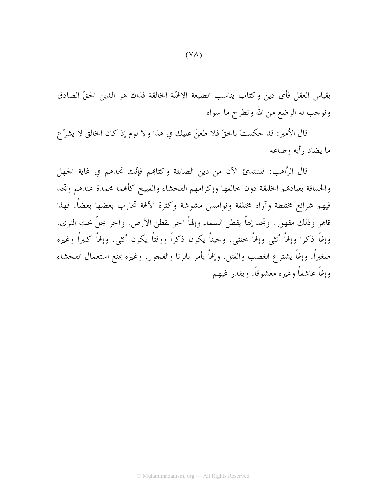بقياس العقل فأي دين وكتاب يناسب الطبيعة الإلهيّة الخالقة فذاك هو الدين الحقّ الصادق ونوجب له الوضع من الله ونطرح ما سواه

قال الأمير: قد حكمتَ بالحقِّ فلا طعنَ عليك في هذا ولا لوم إذ كان الخالق لا يشرَّ ع ما بضاد , أبه وطباعه

قال الرَّاهب: فلنبتدئ الآن من دين الصابئة وكتابهم فإنَّك تجدهم في غاية الجهل والحماقة بعبادقم الخليقة دون حالقها وإكرامهم الفحشاء والقبيح كأفمما محمدة عندهم وتحد فيهم شرائع مختلطة وآراء مختلفة ونواميس مشوشة وكثرة الآلهة تحارب بعضها بعضاً. فهذا قاهر وذلك مقهور. وتجد إلهاً يقطن السماء وإلهاً آخر يقطن الأرض. وآخر يحلُّ تحت الثرى. وإلهاً ذكرا وإلهاً أنثى وإلهاً خنثى. وحيناً يكون ذكراً ووقتاً يكون أنثى. وإلهاً كبيراً وغيره صغيراً. وإلهاً يشتر ع الغصب والقتل. وإلهاً يأمر بالزنا والفجور. وغيره يمنع استعمال الفحشاء وإلهاً عاشقاً وغيره معشوقاً. وبقدر غيهم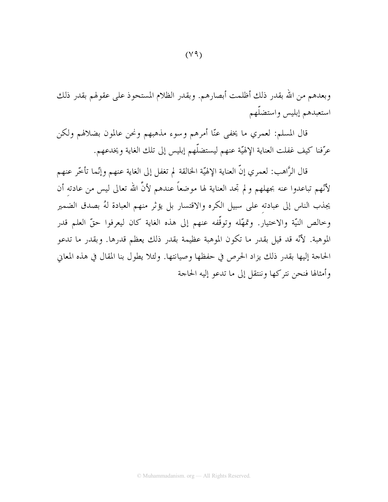وبعدهم من الله بقدر ذلك أظلمت أبصارهم. وبقدر الظلام المستحوذ على عقولهم بقدر ذلك استعبدهم إبليس واستضلَّهم

قال المسلم: لعمري ما يخفي عنّا أمرهم وسوء مذهبهم ونحن عالمون بضلالهم ولكن عرّفنا كيف غفلت العناية الإلهيّة عنهم ليستضلّهم إبليس إلى تلك الغاية ويخدعهم.

قال الرَّاهب: لعمري إنَّ العناية الإلهيَّة الحالقة لم تغفل إلى الغاية عنهم وإنَّما تأخَّر عنهم لأنَّهم تباعدوا عنه بجهلهم ولم تجد العناية لها موضعاً عندهم لأنَّ الله تعالى ليس من عادته أن يجذب الناس إلى عبادته على سبيل الكره والاقتسار بل يؤثر منهم العبادة لهُ بصدق الضمير وخالص النيّة والاختيار. وتمهّله وتوقّفه عنهم إلى هذه الغاية كان ليعرفوا حقّ العلم قدر الموهبة. لأنَّه قد قيل بقدر ما تكون الموهبة عظيمة بقدر ذلك يعظم قدرها. وبقدر ما تدعو الحاجة إليها بقدر ذلك يزاد الحرص في حفظها وصيانتها. ولئلا يطول بنا المقال في هذه المعاني وأمثالها فنحن نتركها وننتقل إلى ما تدعو إليه الحاجة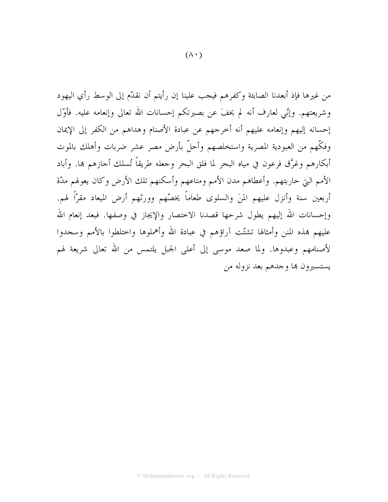من غيرها فإذ أبعدنا الصابئة وكفرهم فيجب علينا إن رأيتم أن نقدّم إلى الوسط رأي اليهود وشريعتهم. وإنّي لعارف أنه لم يخفَ عن بصيرتكم إحسانات الله تعالى وإنعامه عليه. فأوّل إحسانه إليهم وإنعامه عليهم أنه أخرجهم عن عبادة الأصنام وهداهم من الكفر إلى الإيمان وفكَّهم من العبودية المصرية واستخلصهم وأحلُّ بأرض مصر عشر ضربات وأهلك بالموت أبكارهم وغرَّق فرعون في مياه البحر لما فلق البحر وجعله طريقاً تُسلك أجازهم بما. وأباد الأمم التي حاربتهم. وأعطاهم مدن الأمم ومتاعهم وأسكنهم تلك الأرض وكان يعولهم مدّة أربعين سنة وأنزل عليهم المنَ والسلوى طعاماً يخصُّهم وورثهم أرض الميعاد مقرًّا لهم. وإحسانات الله إليهم يطول شرحها قصدنا الاختصار والإيجاز في وصفها. فبعد إنعام الله عليهم بمذه المنن وأمثالها تشتّت آراؤهم في عبادة الله وأهملوها واختلطوا بالأمم وسجدوا لأصنامهم وعبدوها. ولما صعد موسى إلى أعلى الجبل يلتمس من الله تعالى شريعة لهم يستسيرون بها وجدهم بعد نزوله من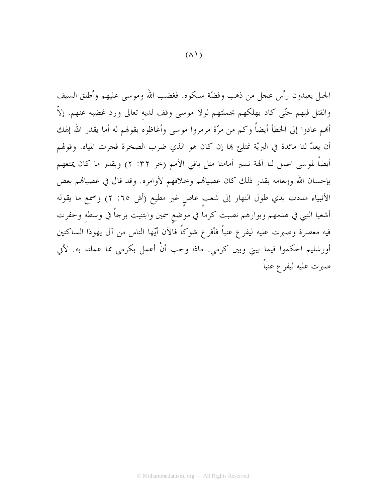الجبل يعبدون رأس عجل من ذهب وفضّة سبكوه. فغضب الله وموسى عليهم وأطلق السيف والقتل فيهم حتَّى كاد يهلكهم بجملتهم لولا موسى وقف لديه تعالى ورد غضبه عنهم. إلاَّ ألهم عادوا إلى الخطأ أيضاً وكم من مرَّة مرمروا موسى وأغاظوه بقولهم له أما يقدر الله إلهك أن يعدّ لنا مائدة في البريّة نمتلئ ها إن كان هو الذي ضرب الصخرة فجرت المياه. وقولهم أيضاً لموسى اعمل لنا آلهة تسير أمامنا مثل باقى الأمم (خر ٣٢: ٢) وبقدر ما كان يمتعهم بإحسان الله وإنعامه بقدر ذلك كان عصيالهم وحلافهم لأوامره. وقد قال في عصيالهم بعض الأنبياء مددت يدي طول النهار إلى شعب عاصٍ غير مطيع (أش ٢: ٢) واسمع ما يقوله أشعيا النبي في هدمهم وبوارهم نصبت كرما في موضع سمين وابتنيت برجاً في وسطهِ وحفرت فيه معصرة وصبرت عليه ليفرع عنباً فأفرع شوكاً فالآن أيّها الناس من آل يهوذا الساكنين أورشليم احكموا فيما بيني وبين كرمي. ماذا وجب أنْ أعمل بكرمي مما عملته به. لأين صبرت عليه ليفر ع عنباً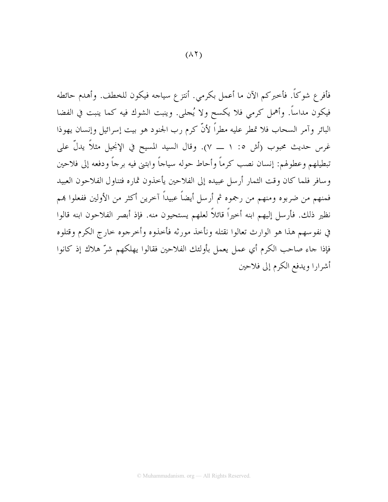فأفرِ ع شوكاً. فأخبركم الآن ما أعمل بكرمي. أنتز ع سياحه فيكون للخطف. وأهدم حائطه فيكون مداساً. وأهمل كرمي فلا يكسح ولا يُجلي. وينبت الشوك فيه كما ينبت في الفضا البائر وآمر السحاب فلا تمطر عليه مطراً لأنَّ كرم رب الجنود هو بيت إسرائيل وإنسان يهوذا غرس حديث محبوب (أش ٥: ١ ـــ ٧). وقال السيد المسيح في الإنجيل مثلاً يدلُّ على تبطيلهم وعطولهم: إنسان نصب كرماً وأحاط حوله سياحاً وابتني فيه برجاً ودفعه إلى فلاحين وسافر فلما كان وقت الثمار أرسل عبيده إلى الفلاحين يأحذون ثماره فتناول الفلاحون العبيد فمنهم من ضربوه ومنهم من رجموه ثم أرسل أيضاً عبيداً آخرين أكثر من الأولين ففعلوا هم نظير ذلك. فأرسل إليهم ابنه أخيراً قائلاً لعلهم يستحيون منه. فإذ أبصر الفلاحون ابنه قالوا في نفوسهم هذا هو الوارث تعالوا نقتله ونأخذ مورثه فأخذوه وأخرجوه خارج الكرم وقتلوه فإذا جاء صاحب الكرم أي عمل يعمل بأولئك الفلاحين فقالوا يهلكهم شرّ هلاك إذ كانوا أشرارا ويدفع الكرم إلى فلاحين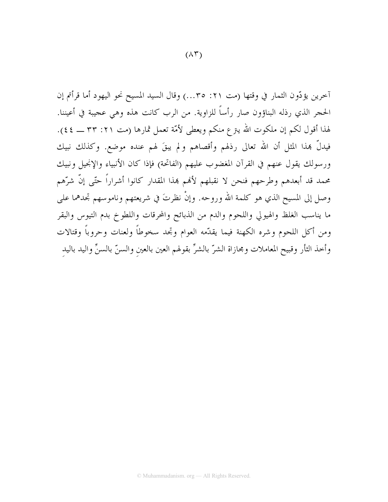آخرين يؤدّون الثمار في وقتها (مت ٢١: ٣٥...) وقال السيد المسيح نحو اليهود أما قرأتم إن الحجر الذي رذله البناؤون صار رأساً للزاوية. من الرب كانت هذه وهي عجيبة في أعيننا. لهذا أقول لكم إن ملكوت الله يترع منكم ويعطي لأمَّة تعمل ثمارها (مت ٢١: ٣٣ ــ ٤٤). فيدلُّ هِذا المثل أن الله تعالى رذلهم وأقصاهم ولم يبقَ لهم عنده موضع. وكذلك نبيك ورسولك يقول عنهم في القرآن المغضوب عليهم (الفاتحة) فإذا كان الأنبياء والإنحيل ونبيك محمد قد أبعدهم وطرحهم فنحن لا نقبلهم لأفمم هذا المقدار كانوا أشراراً حتّى إنّ شرّهم وصل إلى المسيح الذي هو كلمة الله وروحه. وإنْ نظرتَ في شريعتهم وناموسهم تجدهما على ما يناسب الغلظ والهيولي واللحوم والدم من الذبائح والمحرقات واللطوخ بدم التيوس والبقر ومن أكل اللحوم وشره الكهنة فيما يقدّمه العوام وتجد سخوطاً ولعنات وحروباً وقتالات وأخذ الثأر وقبيح المعاملات ومحازاة الشرّ بالشرِّ بقولهم العين بالعين والسنّ بالسنِّ واليد باليد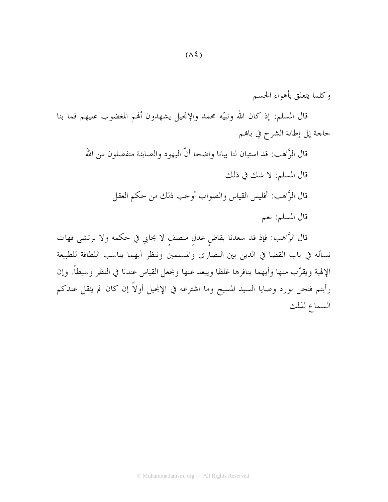وكلما يتعلق بأهواء الجسم

قال المسلم: إذ كان الله ونبيّه محمد والإنجيل يشهدون ألهم المغضوب عليهم فما بنا حاجة إلى إطالة الشرح في باهم

> قال الرَّاهب: قد استبان لنا بيانا واضحا أنَّ اليهود والصابئة منفصلون من الله قال المسلم: لا شك في ذلك قال الرَّاهب: أفليس القياس والصواب أو حب ذلك من حكم العقل قال المسلم: نعم

قال الرَّاهب: فإذ قد سعدنا بقاضٍ عدلٍ منصفٍ لا يحابي في حكمه ولا يرتشى فهات نسأله في باب القضا في الدين بين النصاري والمسلمين وننظر أيهما يناسب اللطافة للطبيعة الإلهية ويقرَّب منها وأيهما ينافرها غلظا ويبعد عنها ونجعل القياس عندنا في النظر وسيطاً. وإن رأيتم فنحن نورد وصايا السيد المسيح وما اشترعه في الإنجيل أولاً إن كان لم يثقل عندكم السماع لذلك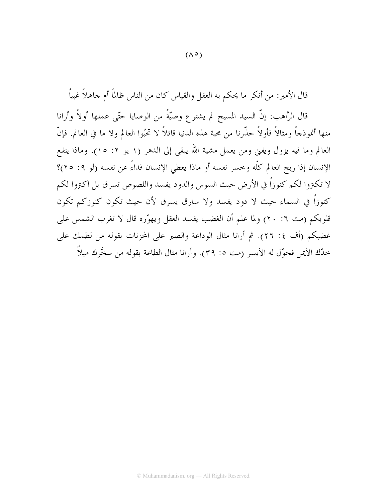قال الأمير: من أنكر ما يحكم به العقل والقياس كان من الناس ظالمًا أم جاهلاً غبياً قال الرَّاهب: إنَّ السيد المسيح لم يشتر ع وصيّةً من الوصايا حتّى عملها أولاً وأرانا منها أنموذجاً ومثالاً فأولاً حذّرنا من محبة هذه الدنيا قائلاً لا تحبّوا العالم ولا ما في العالم. فإنّ العالم وما فيه يزول ويفني ومن يعمل مشية الله يبقى إلى الدهر (١ يو ٢: ١٥). وماذا ينفع الإنسان إذا ربح العالم كلَّه وخسر نفسه أو ماذا يعطي الإنسان فداءً عن نفسه (لو ٩: ٢٥)؟ لا تكتروا لكم كنوزاً في الأرض حيث السوس والدود يفسد واللصوص تسرق بل اكتروا لكم كنوزاً في السماء حيث لا دود يفسد ولا سارق يسرق لأن حيث تكون كنوزكم تكون قلوبكم (مت ٦: ٢٠) ولما علم أن الغضب يفسد العقل ويهوَّره قال لا تغرب الشمس على غضبكم (أف ٤: ٢٦). ثم أرانا مثال الوداعة والصبر على المحزنات بقوله من لطمك على حدَّكِ الأيمن فحوَّل له الأيسر (مت ٥: ٣٩). وأرانا مثال الطاعة بقوله من سخَّرك ميلاً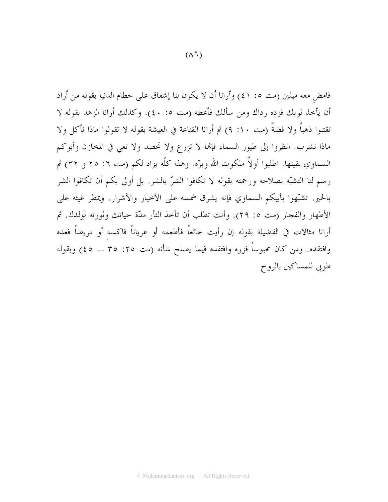فامض معه ميلين (مت ٥: ٤١) وأرانا أن لا يكون لنا إشفاق على حطام الدنيا بقوله من أراد أن يأخذ ثوبك فزده رداك ومن سألك فأعطه (مت ٥: ٤٠). وكذلك أرانا الزهد بقوله لا تقتنوا ذهباً ولا فضةً (مت ١٠: ٩) ثم أرانا القناعة في العيشة بقوله لا تقولوا ماذا نأكل ولا ماذا نشرب. انظروا إلى طيور السماء فإنها لا تزرع ولا تحصد ولا تعي في المخازن وأبوكم السماوي يقيتها. اطلبوا أولاً ملكوت الله وبرّه. وهذا كلّه يزاد لكم (مت ٦: ٢٥ و ٣٢) ثم رسم لنا التشبُّه بصلاحه ورحمته بقوله لا تكافوا الشرَّ بالشر. بل أولى بكم أن تكافوا الشر بالخير. تشبُّهوا بأبيكم السماوي فإنه يشرق شمسه على الأحيار والأشرار. ويمطر غيثه على الأطهار والفجار (مت ٥: ٢٩). وأنت تطلب أن تأحذ الثأر مدّة حياتك وثورته لولدك. ثم أرانا مثالات في الفضيلة بقوله إن رأيت جائعاً فأطعمه أو عرياناً فاكسه أو مريضاً فعده وافتقده. ومن كان محبوساً فزره وافتقده فيما يصلح شأنه (مت ٢٥: ٣٥ ـــ ٤٥) وبقوله طوبي للمساكين بالروح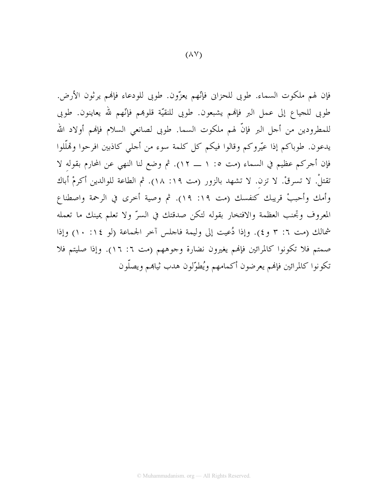فإن لهم ملكوت السماء. طوبي للحزايي فإنَّهم يعزُّون. طوبي للودعاء فإلهم يرثون الأرض. طوبي للجياع إلى عمل البر فإلهم يشبعون. طوبي للنقيّة قلوهم فإنّهم لله يعاينون. طوبي للمطرودين من أجل البر فإنَّ لهم ملكوت السما. طوبي لصانعي السلام فإلهم أولاد الله يدعون. طوباكم إذا عيَّروكم وقالوا فيكم كل كلمة سوء من أجلبي كاذبين افرحوا ومَّلَّلوا فإن أجركم عظيم في السماء (مت ١: ١ ــ ١٢). ثم وضع لنا النهي عن المحارم بقوله لا تقتلَّ. لا تسرقْ. لا تزن. لا تشهد بالزور (مت ١٩: ١٨). ثم الطاعة للوالدين أكرمْ أباك وأمك وأحببْ قريبك كنفسك (مت ١٩: ١٩). ثم وصية أخرى في الرحمة واصطناع المعروف وتجنب العظمة والافتخار بقوله لتكن صدقتك في السرّ ولا تعلم يمينك ما تعمله شمالك (مت ٦: ٣ و ٤). وإذا دُعيت إلى وليمة فاجلس آخر الجماعة (لو ١٤: ١٠) وإذا صمتم فلا تكونوا كالمرائين فإنهم يغيرون نضارة وجوههم (مت ٦: ١٦). وإذا صليتم فلا تكونوا كالمرائين فإنهم يعرضون أكمامهم ويُطوِّلون هدب ثياهم ويصلُّون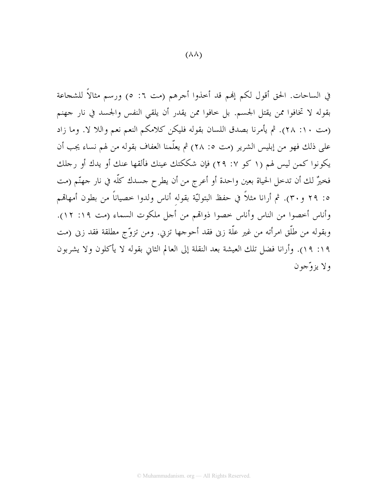في الساحات. الحق أقول لكم إفمم قد أخذوا أجرهم (مت ٦: ٥) ورسم مثالاً للشجاعة بقوله لا تخافوا ممن يقتل الجسم. بل حافوا ممن يقدر أن يلقى النفس والجسد في نار جهنم (مت ١٠: ٢٨). ثم يأمرنا بصدق اللسان بقوله فليكن كلامكم النعم نعم واللا لا. وما زاد على ذلك فهو من إبليس الشرير (مت ٢٨ : ٥) ثم يعلَّمنا العفاف بقوله من لهم نساء يجب أن يكونوا كمن ليس لهم (١ كو ٧: ٢٩) فإن شككتك عينك فألقها عنك أو يدك أو رحلك فخيرٌ لك أن تدخل الحياة بعين واحدة أو أعرج من أن يطرح جسدك كلَّه في نار جهنّم (مت ٥: ٢٩ و٣٠). ثم أرانا مثلاً في حفظ البتوليّة بقوله أناس ولدوا خصياناً من بطون أمهاقمم وأناس أحصوا من الناس وأناس خصوا ذوالهم من أجل ملكوت السماء (مت ١٩: ١٢). وبقوله من طلَّق امرأته من غير علَّة زين فقد أحوجها تزين. ومن تزوَّج مطلقة فقد زين (مت ١٩: ١٩). وأرانا فضل تلك العيشة بعد النقلة إلى العالم الثاني بقوله لا يأكلون ولا يشربون ولا يزوّجون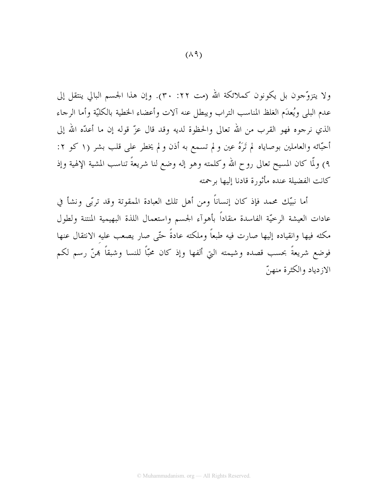ولا يتزوَّجون بل يكونون كملائكة الله (مت ٢٢: ٣٠). وإن هذا الجسم البالي ينتقل إلى عدم البلي ويُعدَم الغلظ المناسب التراب ويبطل عنه آلات وأعضاء الخطية بالكليّة وأما الرجاء الذي نرجوه فهو القرب من الله تعالى والحظوة لديه وقد قال عزّ قوله إن ما أعدّه الله إلى أحبّائه والعاملين بوصاياه لم تَرَهُ عين و لم تسمع به أذن و لم يخطر على قلب بشر (١ كو ٢: ٩) ولَّما كان المسيح تعالى روح الله وكلمته وهو إله وضع لنا شريعةً تناسب المشية الإلهية وإذ كانت الفضيلة عنده مأثورة قادنا إليها برحمته

أما نبيِّك محمد فإذ كان إنساناً ومن أهل تلك العبادة الممقوتة وقد تربَّى ونشأ في عادات العيشة الرخيّة الفاسدة منقاداً بأهوآء الجسم واستعمال اللذة البهيمية المنتنة ولطول مكثه فيها وانقياده إليها صارت فيه طبعاً وملكته عادةً حتّى صار يصعب عليه الانتقال عنها فوضع شريعةً بحسب قصده وشيمته التي ألفها وإذ كان محبًّا للنسا وشبقاً همنّ رسم لكم الاز دياد والكثرة منهنّ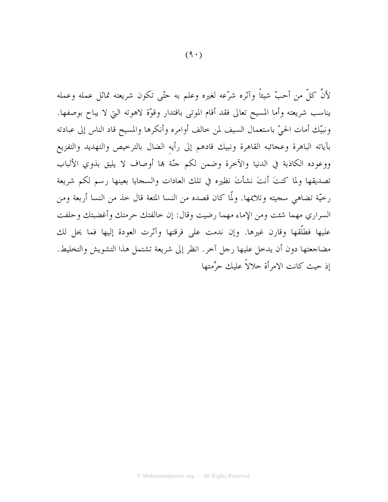لأنَّ كلَّ من أحبَّ شيئاً وآثره شرَّعه لغيره وعلم به حتَّى تكون شريعته تماثل عمله وعمله يناسب شريعته وأما المسيح تعالى فقد أقام الموتبي باقتدار وقوَّة لاهوته التي لا يباح بوصفها. ونبيّك أمات الحيّ باستعمال السيف لمن خالف أوامره وأنكرها والمسيح قاد الناس إلى عبادته بآياته الباهرة وعجائبه القاهرة ونبيك قادهم إلى رأيه الضال بالترخيص والتهديد والتفزيع ووعوده الكاذبة في الدنيا والآخرة وضمن لكم حنّة ها أوصاف لا يليق بذوي الألباب تصديقها ولما كنتَ أنتَ نشأتَ نظيرِه في تلك العادات والسجايا بعينها رسم لكم شريعة رخيَّة تضاهي سجيته وتلايمها. ولَّما كان قصده من النسا المتعة قال خذ من النسا أربعة ومن السراري مهما شئت ومن الإماء مهما رضيت وقال: إن خالفتك حرمتك وأغضبتك وحلفت عليها فطلَّقها وقارن غيرها. وإن ندمت على فرقتها وآثرت العودة إليها فما يحل لك مضاجعتها دون أن يدحل عليها رجل آحر . انظر إلى شريعة تشتمل هذا التشويش والتخليط. إذ حيث كانت الامرأة حلالاً علىك حرَّمتها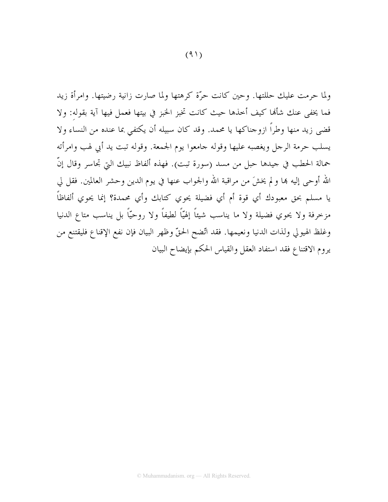ولما حرمت عليك حللتها. وحين كانت حرَّة كرهتها ولما صارت زانية رضيتها. وامرأة زيد فما يخفى عنك شألها كيف أخذها حيث كانت تخبز الخبز في بيتها فعمل فيها آية بقوله: ولا قضي زيد منها وطراً ازوجناكها يا محمد. وقد كان سبيله أن يكتفي بما عنده من النساء ولا يسلب حرمة الرجل ويغصبه عليها وقوله جامعوا يوم الجمعة. وقوله تبت يد أيي لهب وامرأته حمالة الحطب في حيدها حبل من مسد (سورة تبت). فهذه ألفاظ نبيك التي تحاسر وقال إنّ الله أو حي إليه بما و لم يخشَ من مراقبة الله والجواب عنها في يوم الدين وحشر العالمين. فقل لي يا مسلم بحق معبودك أي قوة أم أي فضيلة يحوي كتابك وأي محمدة؟ إنما يحوي ألفاظاً مزخرفة ولا يحوي فضيلة ولا ما يناسب شيئاً إلهيّاً لطيفاً ولا روحيّاً بل يناسب متاع الدنيا وغلظ الهيولي ولذات الدنيا ونعيمها. فقد اتّضح الحقّ وظهر البيان فإن نفع الإقناع فليقتنع من يروم الاقتناع فقد استفاد العقل والقياس الحكم بإيضاح البيان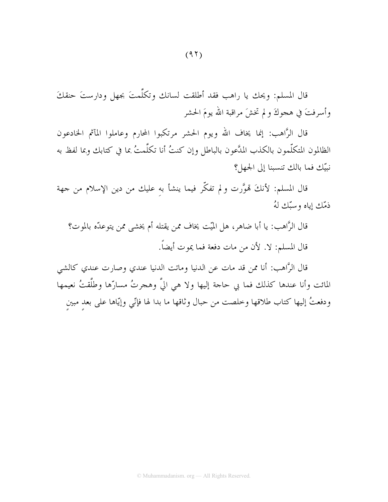قال المسلم: ويحك يا راهب فقد أطلقت لسانك وتكلَّمتَ بجهل ودارستَ حنقكَ وأسرفتَ في هجوكَ و لم تخشَ مراقبة الله يومَ الحشر

قال الرَّاهب: إنما يخاف الله ويوم الحشر مرتكبوا المحارم وعاملوا المآثم الخادعون الظالمون المتكلَّمون بالكذب المدَّعون بالباطل وإن كنتُ أنا تكلَّمتُ بما في كتابك وبما لفظ به نبيِّك فما بالك تنسبنا إلى الجهل؟

قال المسلم: لأنكَ قموَّرت و لم تفكَّر فيما ينشأ به عليك من دين الإسلام من جهة ذمّك إياه وسيّك لهُ

قال الرَّاهب: يا أبا ضاهر، هل الميّت يخاف ممن يقتله أم يخشى ممن يتوعدّه بالموت؟ قال المسلم: لا. لأن من مات دفعة فما يموت أيضاً.

قال الرَّاهب: أنا ممن قد مات عن الدنيا وماتت الدنيا عندي وصارت عندي كالشي المائت وأنا عندها كذلك فما بي حاجة إليها ولا هي اليَّ وهجرتُ مسارِّها وطلَّقتُ نعيمها ودفعتُ إليها كتاب طلاقها وخلصت من حبال وثاقها ما بدا لها فإنّي وإيّاها على بعد مبين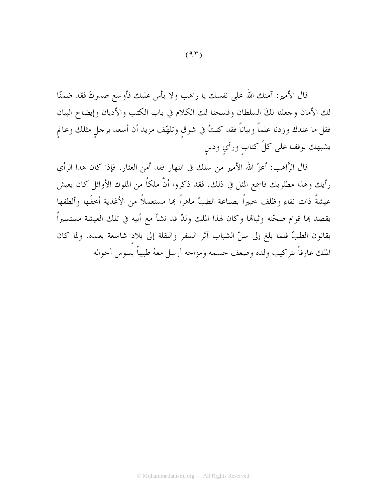قال الأمير: آمنك الله على نفسك يا راهب ولا بأس عليك فأوسع صدركَ فقد ضمنّا لك الأمان وجعلنا لكَ السلطان وفسحنا لك الكلام في باب الكتب والأديان وإيضاح البيان فقل ما عندك وزدنا علماً وبياناً فقد كنتُ في شوق وتلهّف مزيد أن أسعد برحل مثلك وعالم يشبهك يوقفنا على كلّ كتاب ورأي ودينِ

قال الرَّاهب: أعزَّ الله الأمير من سلك في النهار فقد أمن العثارِ. فإذا كان هذا الرأي رأيك وهذا مطلوبك فاسمع المثل في ذلك. فقد ذكروا أنَّ ملكاً من الملوك الأوائل كان يعيش عيشةً ذات نقاء وظلف حبيراً بصناعة الطبّ ماهراً ها مستعملاً من الأغذية أحفّها وألطفها يقصد ها قوام صحّته وثبالها وكان لهذا الملك ولدٌ قد نشأ مع أبيه في تلك العيشة مستسيراً بقانون الطبّ فلما بلغ إلى سنّ الشباب آثر السفر والنقلة إلى بلاد شاسعة بعيدة. ولما كان الملك عارفاً بتركيب ولده وضعف جسمه ومزاجه أرسل معهُ طبيباً يسوس أحواله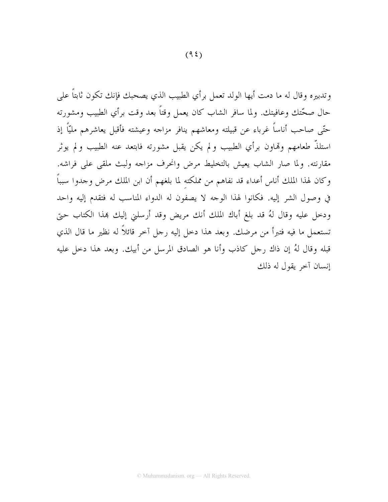وتدبيره وقال له ما دمت أيها الولد تعمل برأي الطبيب الذي يصحبك فإنك تكون ثابتاً على حال صحّتك وعافيتك. ولما سافر الشاب كان يعمل وقتاً بعد وقت برأي الطبيب ومشورته حتَّى صاحب أناساً غرباء عن قبيلته ومعاشهم ينافر مزاحه وعيشته فأقبل يعاشرهم مليّاً إذ استلذَّ طعامهم وقماون برأي الطبيب ولم يكن يقبل مشورته فابتعد عنه الطبيب ولم يوثر مقارنته. ولما صار الشاب يعيش بالتخليط مرض وانحرف مزاجه ولبث ملقى على فراشه. وكان لهذا الملك أناس أعداء قد نفاهم من مملكته لما بلغهم أن ابن الملك مرض وجدوا سبباً في وصول الشر إليه. فكانوا لهذا الوجه لا يصفون له الدواء المناسب له فتقدم إليه واحد ودحل عليه وقال لهُ قد بلغ أباك الملك أنك مريضٍ وقد أرسلني إليك هذا الكتاب حتى تستعمل ما فيه فتبرأ من مرضك. وبعد هذا دحل إليه رحل آخر قائلاً له نظير ما قال الذي قبله وقال لهُ إن ذاك رجل كاذب وأنا هو الصادق المرسل من أبيك. وبعد هذا دحل عليه إنسان آخر يقول له ذلك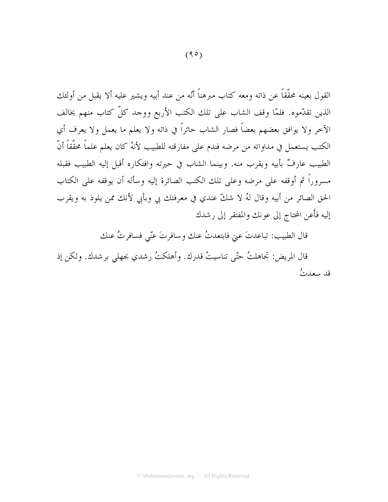القول بعينه محقَّقاً عن ذاته ومعه كتاب مبرهناً أنَّه من عند أبيه ويشير عليه ألا يقبل من أولئك الذين تقدَّموه. فلمَّا وقف الشاب على تلك الكتب الأربع ووجد كلِّ كتاب منهم يخالف الآخر ولا يوافق بعضهم بعضاً فصار الشاب حائراً في ذاته ولا يعلم ما يعمل ولا يعرف أي الكتب يستعمل في مداواته من مرضه فندم على مفارقته للطبيب لأنهُ كان يعلم علماً محقّقاً أنّ الطبيب عارفٌ بأبيه ويقرب منه. وبينما الشاب في حيرته وافتكاره أقبل إليه الطبيب فقبله مسروراً ثم أوقفه على مرضه وعلى تلك الكتب الصائرة إليه وسأله أن يوقفه على الكتاب الحق الصائر من أبيه وقال لهُ لا شكَّ عندي في معرفتك بي وبأبي لأنك ممن يلوذ به ويقرب إليه فأعن المحتاج إلى عونك والمفتقر إلى رشدك

قال الطبيب: تباعدتَ عيي فابتعدتُ عنك وسافرتَ عنّي فسافرتُ عنك

قال المريض: تجاهلتُ حتّى تناسيتُ قدرك. وأهلكتُ رشدي بجهلي برشدك. ولكن إذ قد سعدتُ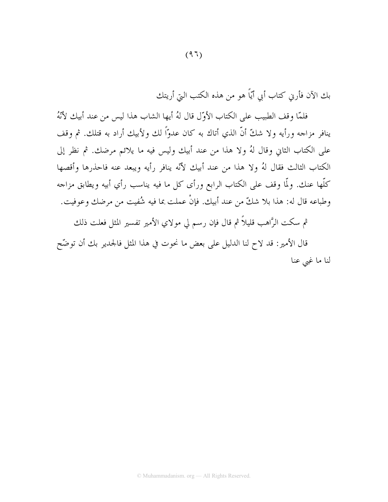بك الآن فأرني كتاب أبي أيّاً هو من هذه الكتب التي أريتك

فلمَّا وقف الطبيب على الكتاب الأوَّل قال لهُ أيها الشاب هذا ليس من عند أبيك لأنَّهُ ينافر مزاجه ورأيه ولا شكَّ أنَّ الذي أتاك به كان عدوًّا لك ولأبيك أراد به قتلك. ثم وقف على الكتاب الثاني وقال لهُ ولا هذا من عند أبيك وليس فيه ما يلائم مرضك. ثم نظر إلى الكتاب الثالث فقال لهُ ولا هذا من عند أبيك لأنّه ينافر رأيه ويبعد عنه فاحذرها وأقصها كلُّها عنك. ولَّما وقف على الكتاب الرابع ورأى كلِّ ما فيه يناسب رأي أبيه ويطابق مزاجه وطباعه قال له: هذا بلا شكِّ من عند أبيك. فإنْ عملت بما فيه شُفيت من مرضك وعوفيت.

ثم سكت الرَّاهب قليلاً ثم قال فإن رسم لي مولاي الأمير تفسير المثل فعلت ذلك

قال الأمير: قد لاح لنا الدليل على بعض ما نحوت في هذا المثل فالجدير بك أن توضُّح لنا ما غبي عنا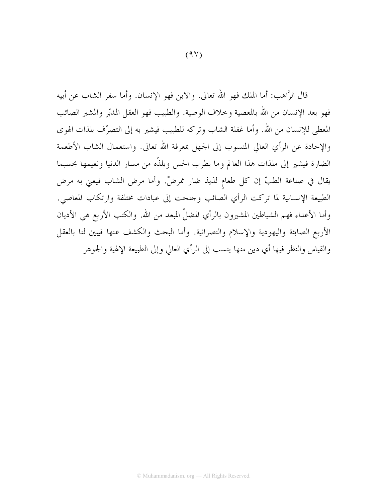قال الرَّاهب: أما الملك فهو الله تعالى. والابن فهو الإنسان. وأما سفر الشاب عن أبيه فهو بعد الإنسان من الله بالمعصية وحلاف الوصية. والطبيب فهو العقل المدبّر والمشير الصائب المعطي للإنسان من الله. وأما غفلة الشاب وتركه للطبيب فيشير به إلى التصرُّف بلذات الهوى والإحادة عن الرأي العالي المنسوب إلى الجهل بمعرفة الله تعالى. واستعمال الشاب الأطعمة الضارة فيشير إلى ملذات هذا العالم وما يطرب الحس ويلذَّه من مسار الدنيا ونعيمها بحسبما يقال في صناعة الطبِّ إن كل طعام لذيذ ضار ممرضٌ. وأما مرض الشاب فيعني به مرض الطبيعة الإنسانية لما تركت الرأي الصائب وحنحت إلى عبادات مختلفة وارتكاب المعاصي. وأما الأعداء فهم الشياطين المشيرون بالرأي المضلّ المبعد من الله. والكتب الأربع هي الأديان الأربع الصابئة واليهودية والإسلام والنصرانية. وأما البحث والكشف عنها فيبين لنا بالعقل والقياس والنظر فيها أي دين منها ينسب إلى الرأي العالي وإلى الطبيعة الإلهية والجوهر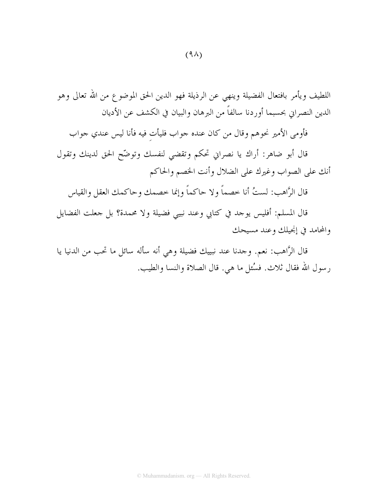اللطيف ويأمر بافتعال الفضيلة وينهى عن الرذيلة فهو الدين الحق الموضوع من الله تعالى وهو الدين النصراني بحسبما أوردنا سالفاً من البرهان والبيان في الكشف عن الأديان

فأومى الأمير نحوهم وقال من كان عنده جواب فليأت فيه فأنا ليس عندي جواب

قال أبو ضاهر: أراك يا نصراني تحكم وتقضى لنفسك وتوضّح الحق لدينك وتقول أنك على الصواب وغيرك على الضلال وأنت الخصم والحاكم

قال الرَّاهب: لستُ أنا خصماً ولا حاكماً وإنما خصمك وحاكمك العقل والقياس

قال المسلم: أفليس يوحد في كتابي وعند نبيي فضيلة ولا محمدة؟ بل حعلت الفضايل والمحامد في إنجيلك وعند مسيحك

قال الرَّاهب: نعم. وجدنا عند نبييك فضيلة وهي أنه سأله سائل ما تحب من الدنيا يا رسول الله فقال ثلاث. فسُئل ما هي. قال الصلاة والنسا والطيب.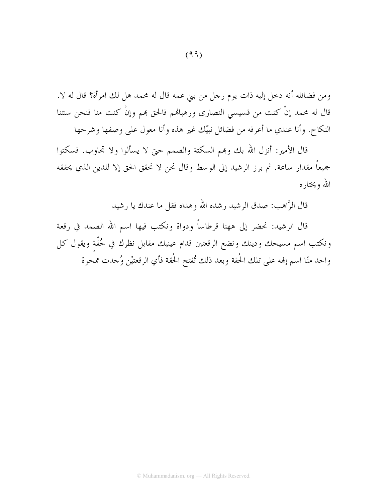ومن فضائله أنه دخل إليه ذات يوم رجل من بني عمه قال له محمد هل لك امرأة؟ قال له لا. قال له محمد إنْ كنت من قسيسي النصاري ورهبالهم فالحق هم وإنْ كنت منا فنحن سنتنا النكاح. وأنا عندي ما أعرفه من فضائل نبيِّك غير هذه وأنا معول على وصفها وشرحها

قال الأمير: أنزل الله بك وبمم السكتة والصمم حتى لا يسألوا ولا تجاوب. فسكتوا جميعاً مقدار ساعة. ثم برز الرشيد إلى الوسط وقال نحن لا نحقق الحق إلا للدين الذي يحققه الله و یختار ه

قال الرَّاهب: صدق الرشيد رشده الله وهداه فقل ما عندك يا رشيد

قال الرشيد: نحضر إلى ههنا قرطاساً ودواة ونكتب فيها اسم الله الصمد في رقعة ونكتب اسم مسيحك ودينك ونضع الرقعتين قدام عينيك مقابل نظرك في حُقَّة ويقول كل واحد منّا اسم إلهه على تلك الحُقة وبعد ذلك تُفتح الحُقة فأي الرقعتيْن وُحِدت ممحوة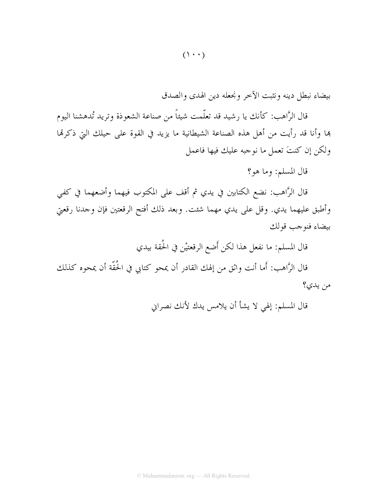بيضاء نبطل دينه ونثبت الآحر ونجعله دين الهدى والصدق

قال الرَّاهب: كأنك يا رشيد قد تعلَّمت شيئاً من صناعة الشعوذة وتريد تُدهشنا اليوم ها وأنا قد رأيت من أهل هذه الصناعة الشيطانية ما يزيد في القوة على حيلك التي ذكرها ولكن إن كنتَ تعملٍ ما نوجبه عليك فيها فاعمل

قال المسلم: وما هو؟

قال الرَّاهب: نضع الكتابين في يدي ثم أقف على المكتوب فيهما وأضعهما في كفي وأطبق عليهما يدي. وقل على يدي مهما شئت. وبعد ذلك أفتح الرقعتين فإن وحدنا رقعتي بيضاء فنوجب قولك

قال المسلم: ما نفعل هذا لكن أُضع الرقعتيْن في الحُقة بيدي

قال الرَّاهب: أما أنت واثق من إلهك القادر أن يمحو كتابي في الحُقَّة أن يمحوه كذلك من يدي؟

قال المسلم: إلهي لا يشأ أن يلامس يدك لأنك نصراني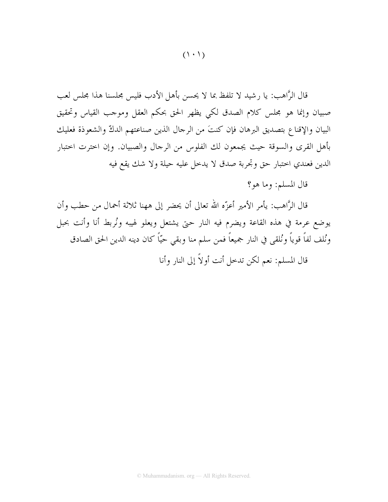قال الرَّاهب: يا رشيد لا تلفظ بما لا يحسن بأهل الأدب فليس مجلسنا هذا مجلس لعب صبيان وإنما هو مجلس كلام الصدق لكي يظهر الحق بحكم العقل وموجب القياس وتحقيق البيان والإقناع بتصديق البرهان فإن كنتَ من الرحال الذين صناعتهم الدكِّ والشعوذة فعليك بأهل القرى والسوقة حيث يجمعون لك الفلوس من الرجال والصبيان. وإن احترت احتبار الدين فعندي احتبار حق وتجربة صدق لا يدحل عليه حيلة ولا شك يقع فيه

قال المسلم: وما هو؟

قال الرَّاهب: يأمر الأمير أعزَّه الله تعالى أن يحضر إلى ههنا ثلاثة أحمال من حطب وأن يوضع عرمة في هذه القاعة ويضرم فيه النار حتى يشتعل ويعلو لهيبه ونُربط أنا وأنت بحبل ونُلف لفاً قوياً ونُلقى في النار جميعاً فمن سلم منا وبقى حيّاً كان دينه الدين الحق الصادق

قال المسلم: نعم لكن تدحل أنت أو لاً إلى النار وأنا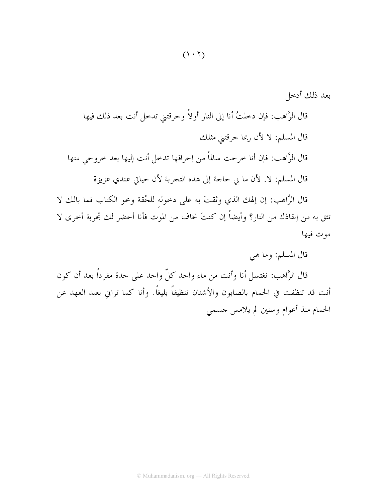قال الرَّاهب: إن إلهك الذي وثقتَ به على دخوله للحُقة ومحو الكتاب فما بالك لا تثق به من إنقاذك من النار؟ وأيضاً إن كنتَ تخاف من الموت فأنا أحضر لك تجربة أخرى لا موت فيها

قال المسلم: وما هي

قال الرَّاهب: نغتسل أنا وأنت من ماء واحد كلِّ واحد على حدة مفرداً بعد أن كون أنت قد تنظفت في الحمام بالصابون والأشنان تنظيفاً بليغاً. وأنا كما ترابي بعيد العهد عن الحمام منذ أعوام وسنين لم يلامس جسمي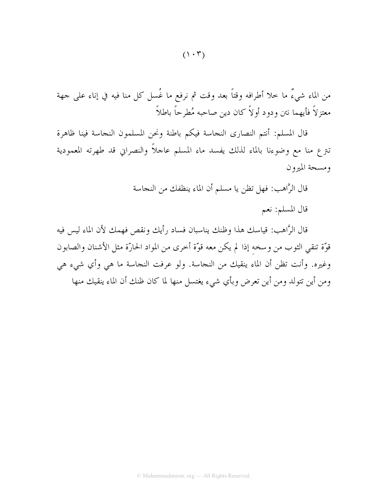قال المسلم: أنتم النصارى النجاسة فيكم باطنة ونحن المسلمون النجاسة فينا ظاهرة تنزع منا مع وضوءنا بالماء لذلك يفسد ماء المسلم عاجلاً والنصراني قد طهرته المعمودية ومسحة الميرون

> قال الرَّاهب: فهل تظن يا مسلم أن الماء ينظفك من النجاسة قال المسلم: نعم

قال الرَّاهب: قياسك هذا وظنك يناسبان فساد رأيك ونقص فهمك لأن الماء ليس فيه قوَّة تنقي الثوب من وسخه إذا لم يكن معه قوَّة أخرى من المواد الحارّة مثل الأشنان والصابون وغيره. وأنت تظن أن الماء ينقيك من النجاسة. ولو عرفت النجاسة ما هي وأي شيء هي ومن أين تتولد ومن أين تعرض وبأي شيء يغتسل منها لما كان ظنك أن الماء ينقيك منها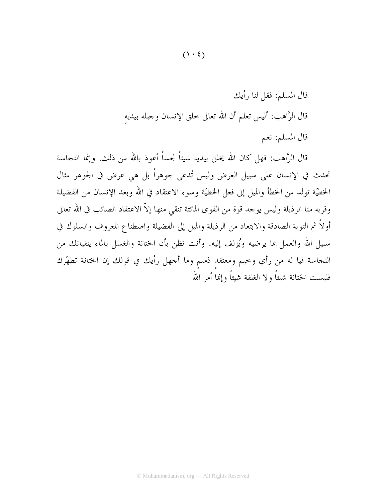قال الرَّاهب: فهل كان الله يخلق بيديه شيئاً نجساً أعوذ بالله من ذلك. وإنما النجاسة تحدث في الإنسان على سبيل العرض وليس تُدعى جوهراً بل هي عرض في الجوهر مثال الخطيَّة تولد من الخطأ والميل إلى فعل الخطيَّة وسوء الاعتقاد في الله وبعد الإنسان من الفضيلة وقربه منا الرذيلة وليس يوجد قوة من القوى المائتة تنقى منها إلاّ الاعتقاد الصائب في الله تعالى أولاً ثم التوبة الصادقة والابتعاد من الرذيلة والميل إلى الفضيلة واصطناع المعروف والسلوك في سبيل الله والعمل بما يرضيه ويُزلف إليه. وأنت تظن بأن الختانة والغسل بالماء ينقيانك من النجاسة فيا له من رأي وخيم ومعتقدٍ ذميمٍ وما أجهل رأيك في قولك إن الختانة تطهَّرك فليست الحتانة شيئاً ولا الغلفة شيئاً وإنما أمر الله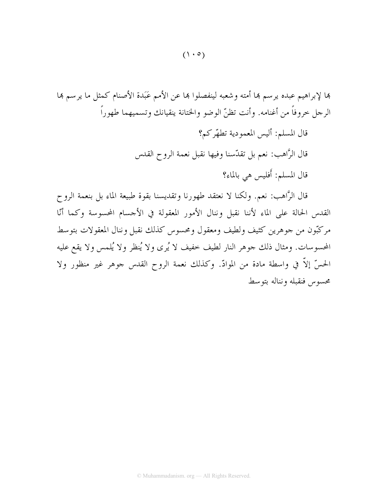قال الرَّاهب: نعم. ولكنا لا نعتقد طهورنا وتقديسنا بقوة طبيعة الماء بل بنعمة الروح القدس الحالة على الماء لأننا نقبل وننال الأمور المعقولة في الأجسام المحسوسة وكما أنّا مركبّون من جوهرين كثيف ولطيف ومعقول ومحسوس كذلك نقبل وننال المعقولات بتوسط المحسوسات. ومثال ذلك جوهر النار لطيف خفيف لا يُرى ولا يُنظر ولا يُلمس ولا يقع عليه الحسِّ إلاَّ في واسطة مادة من الموادِّ. وكذلك نعمة الروح القدس جوهر غير منظور ولا محسوس فنقبله ونناله بتوسط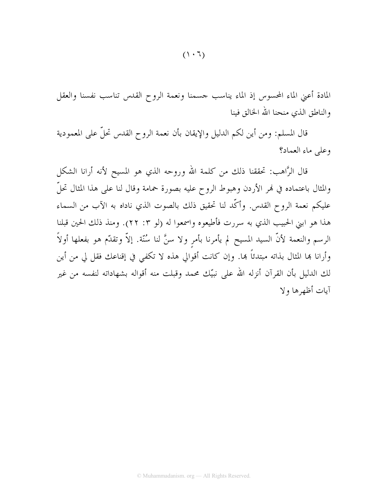المادة أعنى الماء المحسوس إذ الماء يناسب حسمنا ونعمة الروح القدس تناسب نفسنا والعقل والناطق الذي منحنا الله الخالق فينا

قال المسلم: ومن أين لكم الدليل والإيقان بأن نعمة الروح القدس تحلُّ على المعمودية وعلى ماء العماد؟

قال الرَّاهب: تحققنا ذلك من كلمة الله وروحه الذي هو المسيح لأنه أرانا الشكل والمثال باعتماده في فمر الأردن وهبوط الروح عليه بصورة حمامة وقال لنا على هذا المثال تحلُّ عليكم نعمة الروح القدس. وأكَّد لنا تحقيق ذلك بالصوت الذي ناداه به الآب من السماء هذا هو ابني الحبيب الذي به سررت فأطيعوه واسمعوا له (لو ٣: ٢٢). ومنذ ذلك الحين قبلنا الرسم والنعمة لأنّ السيد المسيح لم يأمرنا بأمرٍ ولا سنَّ لنا سُنَّة. إلاّ وتقدّم هو بفعلها أولاً وأرانا هِما المثال بذاته مبتدئاً هِا. وإن كانت أقوالي هذه لا تكفي في إقناعك فقل لي من أين لك الدليل بأن القرآن أنزله الله على نبيّك محمد وقبلت منه أقواله بشهاداته لنفسه من غير آبات أظهرها ولا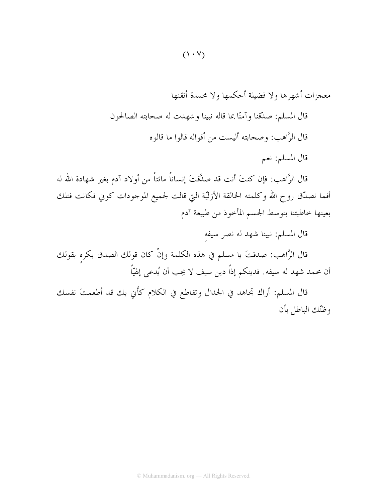قال الرَّاهب: فإن كنتَ أنت قد صدَّقتَ إنساناً مائتاً من أولاد آدم بغير شهادة الله له أفما نصدّق روح الله وكلمته الخالقة الأزليّة التي قالت لجميع الموجودات كوبي فكانت فتلك بعينها حاطبتنا بتوسط الجسم المأخوذ من طبيعة آدم

قال المسلم: نبينا شهد له نصر سيفه

قال الرَّاهب: صدقتَ يا مسلم في هذه الكلمة وإنْ كان قولك الصدق بكره بقولك أن محمد شهد له سيفه. فدينكم إذاً دين سيف لا يجب أن يُدعى إلهيّاً

قال المسلم: أراك تجاهد في الجدال وتقاطع في الكلام كأَني بك قد أطعمتَ نفسك وظنّك الباطل بأن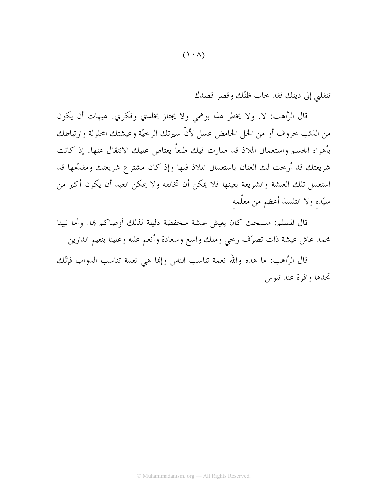تنقلني إلى دينك فقد حاب ظنّك وقصر قصدك

قال الرَّاهب: لا. ولا يخطر هذا بوهمي ولا يجتاز بخلدي وفكري. هيهات أن يكون من الذئب حروف أو من الخل الحامض عسل لأنَّ سيرتك الرخيَّة وعيشتك المحلولة وارتباطك بأهواء الجسم واستعمال الملاذ قد صارت فيك طبعاً يعتاص عليك الانتقال عنها. إذ كانت شريعتك قد أرحت لك العنان باستعمال الملاذ فيها وإذ كان مشترع شريعتك ومقدّمها قد استعمل تلك العيشة والشريعة بعينها فلا يمكن أن تخالفه ولا يمكن العبد أن يكون أكبر من سيّده ولا التلميذ أعظم من معلّمه

قال المسلم: مسيحك كان يعيش عيشة منخفضة ذليلة لذلك أوصاكم هما. وأما نبينا محمد عاش عيشة ذات تصرّف رحيي وملك واسع وسعادة وأنعم عليه وعلينا بنعيم الدارين

قال الرَّاهب: ما هذه والله نعمة تناسب الناس وإنما هي نعمة تناسب الدواب فإنَّك تجدها وافرة عند تيوس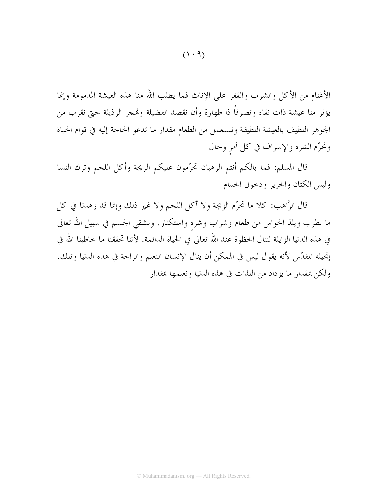الأغنام من الأكل والشرب والقفز على الإناث فما يطلب الله منا هذه العيشة المذمومة وإنما يؤثر منا عيشة ذات نقاء وتصرفاً ذا طهارة وأن نقصد الفضيلة ونمجر الرذيلة حتى نقرب من الجوهر اللطيف بالعيشة اللطيفة ونستعمل من الطعام مقدارٍ ما تدعو الحاجة إليه في قوام الحياة ونحرَّم الشره والإسراف في كل أمرٍ وحال

قال المسلم: فما بالكم أنتم الرهبان تحرَّمون عليكم الزيجة وأكل اللحم وترك النسا ولبس الكتان والحرير ودحول الحمام

قال الرَّاهب: كلا ما نحرَّم الزيجة ولا أكلَّ اللحم ولا غير ذلك وإنما قد زهدنا في كلِّ ما يطرب ويلذ الحواس من طعام وشراب وشره واستكثار. ونشقي الجسم في سبيل الله تعالى في هذه الدنيا الزايلة لننال الحظوة عند الله تعالى في الحياة الدائمة. لأننا تحققنا ما حاطبنا الله في إنجيله المقدّس لأنه يقول ليس في الممكن أن ينال الإنسان النعيم والراحة في هذه الدنيا وتلك. ولكن عقدار ما يزداد من اللذات في هذه الدنيا و نعيمها عقدار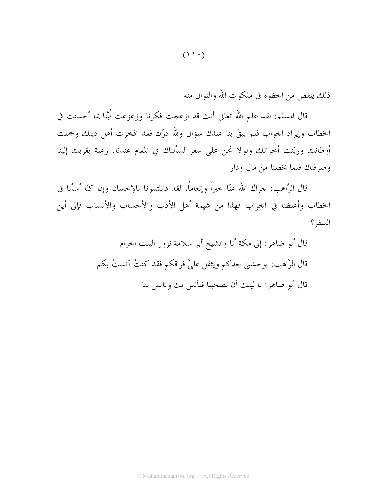ذلك ينقص من الحظوة في ملكوت الله والنوال منه

قال المسلم: لقد علم الله تعالى أنك قد ازعجت فكرنا وزعزعت لُبَّنا بما أحسنت فى الخطاب وإيراد الجواب فلم يبقَ بنا عندك سؤال ولله درّك فقد افخرت أهل دينك وجملت أوطانك وزيّنت أخوانك ولولا نحن على سفر لسألناك في المقام عندنا. رغبة بقربك إلينا وصرفناك فيما يخصنا من مال ودار

قال الرَّاهب: جزاك الله عنَّا خيراً وإنعاماً. لقد قابلتمونا بالإحسان وإن كنَّا أسأنا في الخطاب وأغلظنا في الجواب فهذا من شيمة أهل الأدب والأحساب والأنساب فإلى أين السفر؟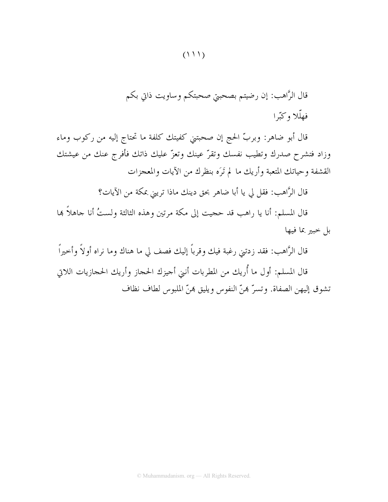## قال الرَّاهب: إن رضيتم بصحبتي صحبتكم وساويت ذاتي بكم فصّللا وكّرا

قال أبو ضاهر: وبربَّ الحج إن صحبتني كفيتك كلفة ما تحتاج إليه من ركوب وماء وزاد فتشرح صدرك وتطيب نفسك وتقرّ عينك وتعزّ عليك ذاتك فأفرج عنك من عيشتك القشفة وحياتك المتعبة وأريك ما لم تَرَه بنظرك من الآيات والمعجزات

قال الرَّاهب: فقل لي يا أبا ضاهر بحق دينك ماذا تريني بمكة من الآيات؟

قال المسلم: أنا يا راهب قد حجيت إلى مكة مرتين وهذه الثالثة ولستُ أنا حاهلاً بما بل خبير بما فيها

قال الرَّاهب: فقد زدتني رغبة فيك وقرباً إليك فصف لي ما هناك وما نراه أو لاً وأخيراً قال المسلم: أول ما أُريك من المطربات أنني أحيزك الحجاز وأريك الحجازيات اللاتي تشوق إليهن الصفاة. وتسرَّ هِنَّ النفوس ويليق هِنَّ الملبوس لطاف نظاف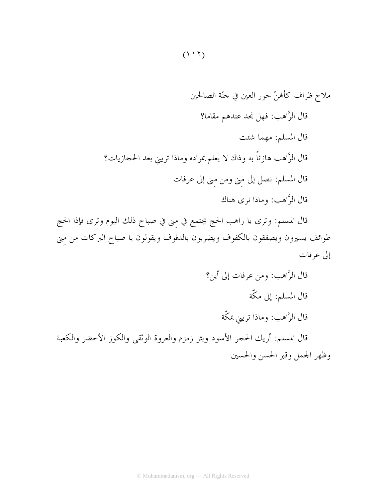قال المسلم: وترى يا راهب الحج يجتمع في مِنى في صباح ذلك اليوم وترى فإذا الحج طوائف يسيرون ويصفقون بالكفوف ويضربون بالدفوف ويقولون يا صباح البركات من مِنى إلى عرفات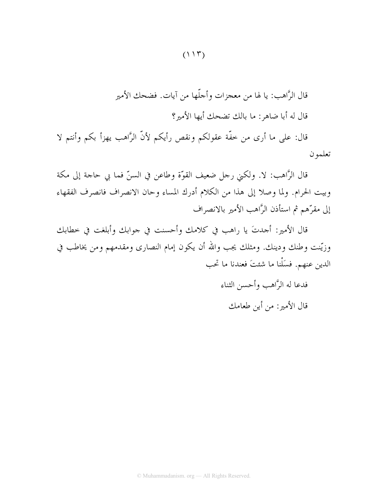قال: على ما أرى من خفَّة عقولكم ونقص رأيكم لأنَّ الرَّاهب يهزأ بكم وأنتم لا تعلمون

قال الرَّاهب: لا. ولكني رحل ضعيف القوَّة وطاعن في السنِّ فما بي حاجة إلى مكة وبيت الحرام. ولما وصلا إلى هذا من الكلام أدرك المساء وحان الانصراف فانصرف الفقهاء إلى مقرَّهم ثم استأذن الرَّاهب الأمير بالانصراف

قال الأمير: أجدتَ يا راهب في كلامك وأحسنت في جوابك وأبلغت في خطابك وزيّنت وطنك ودينك. ومثلك يجب والله أن يكون إمام النصاري ومقدمهم ومن يخاطب في الدين عنهم. فسَلْنا ما شئتَ فعندنا ما تحب

> فدعا له الرَّاهب وأحسن الثناء قال الأمير: من أين طعامك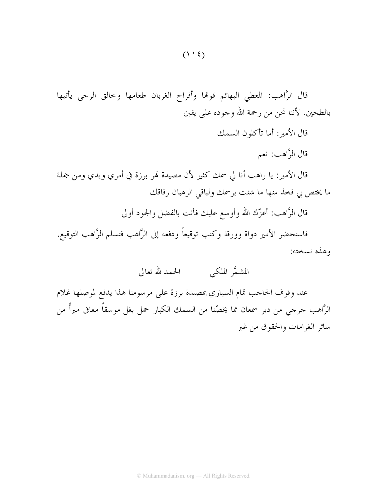قال الرَّاهب: المعطي البهائم قولها وأفراخ الغربان طعامها وخالق الرحى يأتيها بالطحين. لأننا نحن من رحمة الله وجوده على يقين قال الأمير : أما تأكلون السمك قال الرَّاهب: نعم قال الأمير: يا راهب أنا لي سمك كثير لأن مصيدة لهر برزة في أمري ويدي ومن جملة ما يختص بي فخذ منها ما شئت برسمك ولباقي الرهبان رفاقك قال الرَّاهب: أعزَّك الله وأوسع عليك فأنت بالفضل والجود أولى فاستحضر الأمير دواة وورقة وكتب توقيعاً ودفعه إلى الرَّاهب فتسلم الرَّاهب التوقيع. وهذه نسخته:

عند وقوف الحاجب تمام السياري بمصيدة برزة على مرسومنا هذا يدفع لموصلها غلام الرَّاهب جرجي من دير سمعان مما يخصِّنا من السمك الكبار حمل بغل موسقاً معافي مبرأٌ من سائر الغرامات والحقوق من غير